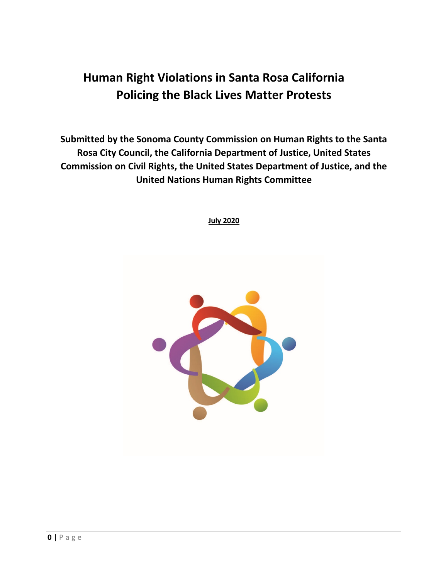# **Human Right Violations in Santa Rosa California Policing the Black Lives Matter Protests**

**Submitted by the Sonoma County Commission on Human Rights to the Santa Rosa City Council, the California Department of Justice, United States Commission on Civil Rights, the United States Department of Justice, and the United Nations Human Rights Committee**

**July 2020**

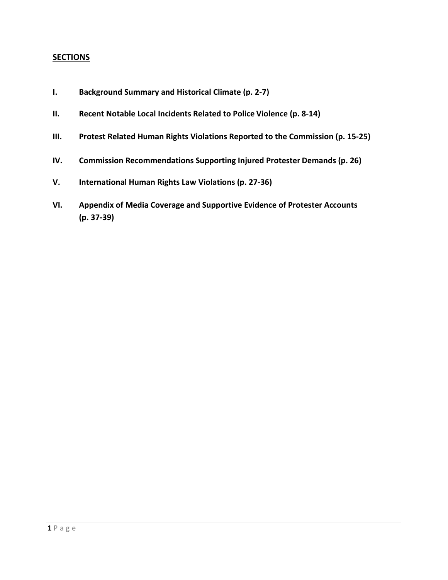# **SECTIONS**

- **I. Background Summary and Historical Climate (p. 2-7)**
- **II. Recent Notable Local Incidents Related to Police Violence (p. 8-14)**
- **III. Protest Related Human Rights Violations Reported to the Commission (p. 15-25)**
- **IV. Commission Recommendations Supporting Injured Protester Demands (p. 26)**
- **V. International Human Rights Law Violations (p. 27-36)**
- **VI. Appendix of Media Coverage and Supportive Evidence of Protester Accounts (p. 37-39)**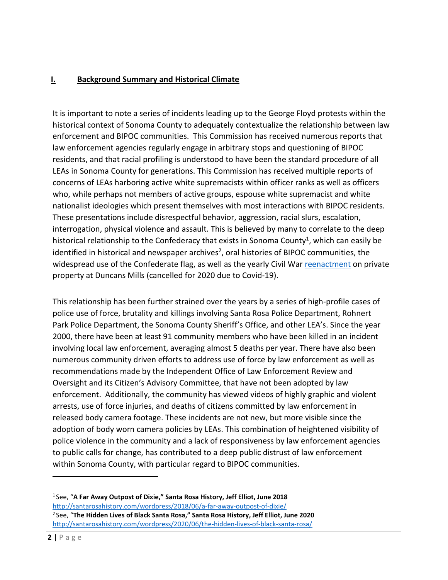#### **I. Background Summary and Historical Climate**

It is important to note a series of incidents leading up to the George Floyd protests within the historical context of Sonoma County to adequately contextualize the relationship between law enforcement and BIPOC communities. This Commission has received numerous reports that law enforcement agencies regularly engage in arbitrary stops and questioning of BIPOC residents, and that racial profiling is understood to have been the standard procedure of all LEAs in Sonoma County for generations. This Commission has received multiple reports of concerns of LEAs harboring active white supremacists within officer ranks as well as officers who, while perhaps not members of active groups, espouse white supremacist and white nationalist ideologies which present themselves with most interactions with BIPOC residents. These presentations include disrespectful behavior, aggression, racial slurs, escalation, interrogation, physical violence and assault. This is believed by many to correlate to the deep historical relationship to the Confederacy that exists in Sonoma County<sup>1</sup>, which can easily be identified in historical and newspaper archives<sup>2</sup>, oral histories of BIPOC communities, the widespread use of the Confederate flag, as well as the yearly Civil War [reenactment](http://www.civilwardays.net/) on private property at Duncans Mills (cancelled for 2020 due to Covid-19).

This relationship has been further strained over the years by a series of high-profile cases of police use of force, brutality and killings involving Santa Rosa Police Department, Rohnert Park Police Department, the Sonoma County Sheriff's Office, and other LEA's. Since the year 2000, there have been at least 91 community members who have been killed in an incident involving local law enforcement, averaging almost 5 deaths per year. There have also been numerous community driven efforts to address use of force by law enforcement as well as recommendations made by the Independent Office of Law Enforcement Review and Oversight and its Citizen's Advisory Committee, that have not been adopted by law enforcement. Additionally, the community has viewed videos of highly graphic and violent arrests, use of force injuries, and deaths of citizens committed by law enforcement in released body camera footage. These incidents are not new, but more visible since the adoption of body worn camera policies by LEAs. This combination of heightened visibility of police violence in the community and a lack of responsiveness by law enforcement agencies to public calls for change, has contributed to a deep public distrust of law enforcement within Sonoma County, with particular regard to BIPOC communities.

<span id="page-2-1"></span><span id="page-2-0"></span><sup>1</sup> See, "**A Far Away Outpost of Dixie," Santa Rosa History, Jeff Elliot, June 2018** <http://santarosahistory.com/wordpress/2018/06/a-far-away-outpost-of-dixie/> 2 See, "**The Hidden Lives of Black Santa Rosa," Santa Rosa History, Jeff Elliot, June 2020** <http://santarosahistory.com/wordpress/2020/06/the-hidden-lives-of-black-santa-rosa/>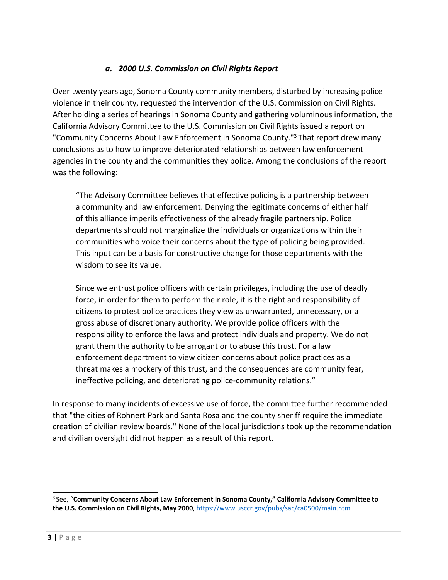# *a. 2000 U.S. Commission on Civil Rights Report*

Over twenty years ago, Sonoma County community members, disturbed by increasing police violence in their county, requested the intervention of the U.S. Commission on Civil Rights. After holding a series of hearings in Sonoma County and gathering voluminous information, the California Advisory Committee to the U.S. Commission on Civil Rights issued a report on "Community Concerns About Law Enforcement in Sonoma County.["3 T](#page-3-0)hat report drew many conclusions as to how to improve deteriorated relationships between law enforcement agencies in the county and the communities they police. Among the conclusions of the report was the following:

"The Advisory Committee believes that effective policing is a partnership between a community and law enforcement. Denying the legitimate concerns of either half of this alliance imperils effectiveness of the already fragile partnership. Police departments should not marginalize the individuals or organizations within their communities who voice their concerns about the type of policing being provided. This input can be a basis for constructive change for those departments with the wisdom to see its value.

Since we entrust police officers with certain privileges, including the use of deadly force, in order for them to perform their role, it is the right and responsibility of citizens to protest police practices they view as unwarranted, unnecessary, or a gross abuse of discretionary authority. We provide police officers with the responsibility to enforce the laws and protect individuals and property. We do not grant them the authority to be arrogant or to abuse this trust. For a law enforcement department to view citizen concerns about police practices as a threat makes a mockery of this trust, and the consequences are community fear, ineffective policing, and deteriorating police-community relations."

In response to many incidents of excessive use of force, the committee further recommended that "the cities of Rohnert Park and Santa Rosa and the county sheriff require the immediate creation of civilian review boards." None of the local jurisdictions took up the recommendation and civilian oversight did not happen as a result of this report.

<span id="page-3-0"></span><sup>3</sup> See, "**Community Concerns About Law Enforcement in Sonoma County," California Advisory Committee to the U.S. Commission on Civil Rights, May 2000**, https://www.usccr.gov/pubs/sac/ca0500/main.htm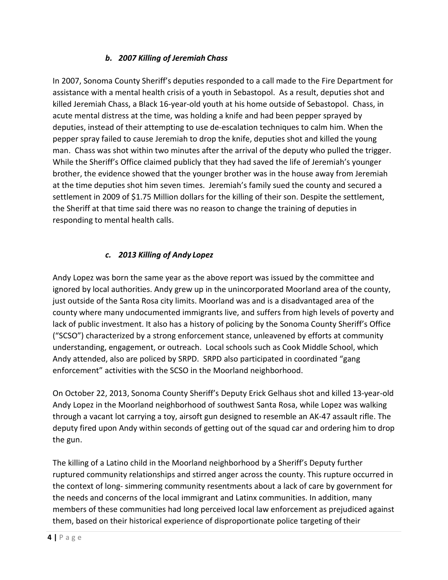# *b. 2007 Killing of Jeremiah Chass*

In 2007, Sonoma County Sheriff's deputies responded to a call made to the Fire Department for assistance with a mental health crisis of a youth in Sebastopol. As a result, deputies shot and killed Jeremiah Chass, a Black 16-year-old youth at his home outside of Sebastopol. Chass, in acute mental distress at the time, was holding a knife and had been pepper sprayed by deputies, instead of their attempting to use de-escalation techniques to calm him. When the pepper spray failed to cause Jeremiah to drop the knife, deputies shot and killed the young man. Chass was shot within two minutes after the arrival of the deputy who pulled the trigger. While the Sheriff's Office claimed publicly that they had saved the life of Jeremiah's younger brother, the evidence showed that the younger brother was in the house away from Jeremiah at the time deputies shot him seven times. Jeremiah's family sued the county and secured a settlement in 2009 of \$1.75 Million dollars for the killing of their son. Despite the settlement, the Sheriff at that time said there was no reason to change the training of deputies in responding to mental health calls.

# *c. 2013 Killing of Andy Lopez*

Andy Lopez was born the same year as the above report was issued by the committee and ignored by local authorities. Andy grew up in the unincorporated Moorland area of the county, just outside of the Santa Rosa city limits. Moorland was and is a disadvantaged area of the county where many undocumented immigrants live, and suffers from high levels of poverty and lack of public investment. It also has a history of policing by the Sonoma County Sheriff's Office ("SCSO") characterized by a strong enforcement stance, unleavened by efforts at community understanding, engagement, or outreach. Local schools such as Cook Middle School, which Andy attended, also are policed by SRPD. SRPD also participated in coordinated "gang enforcement" activities with the SCSO in the Moorland neighborhood.

On October 22, 2013, Sonoma County Sheriff's Deputy Erick Gelhaus shot and killed 13-year-old Andy Lopez in the Moorland neighborhood of southwest Santa Rosa, while Lopez was walking through a vacant lot carrying a toy, airsoft gun designed to resemble an AK-47 assault rifle. The deputy fired upon Andy within seconds of getting out of the squad car and ordering him to drop the gun.

The killing of a Latino child in the Moorland neighborhood by a Sheriff's Deputy further ruptured community relationships and stirred anger across the county. This rupture occurred in the context of long- simmering community resentments about a lack of care by government for the needs and concerns of the local immigrant and Latinx communities. In addition, many members of these communities had long perceived local law enforcement as prejudiced against them, based on their historical experience of disproportionate police targeting of their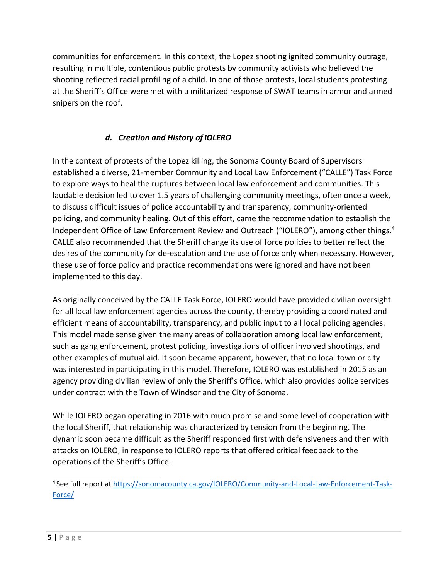communities for enforcement. In this context, the Lopez shooting ignited community outrage, resulting in multiple, contentious public protests by community activists who believed the shooting reflected racial profiling of a child. In one of those protests, local students protesting at the Sheriff's Office were met with a militarized response of SWAT teams in armor and armed snipers on the roof.

# *d. Creation and History of IOLERO*

In the context of protests of the Lopez killing, the Sonoma County Board of Supervisors established a diverse, 21-member Community and Local Law Enforcement ("CALLE") Task Force to explore ways to heal the ruptures between local law enforcement and communities. This laudable decision led to over 1.5 years of challenging community meetings, often once a week, to discuss difficult issues of police accountability and transparency, community-oriented policing, and community healing. Out of this effort, came the recommendation to establish the Independent Office of Law Enforcement Review and Outreach ("IOLERO"), among other thing[s.](#page-5-0) 4 CALLE also recommended that the Sheriff change its use of force policies to better reflect the desires of the community for de-escalation and the use of force only when necessary. However, these use of force policy and practice recommendations were ignored and have not been implemented to this day.

As originally conceived by the CALLE Task Force, IOLERO would have provided civilian oversight for all local law enforcement agencies across the county, thereby providing a coordinated and efficient means of accountability, transparency, and public input to all local policing agencies. This model made sense given the many areas of collaboration among local law enforcement, such as gang enforcement, protest policing, investigations of officer involved shootings, and other examples of mutual aid. It soon became apparent, however, that no local town or city was interested in participating in this model. Therefore, IOLERO was established in 2015 as an agency providing civilian review of only the Sheriff's Office, which also provides police services under contract with the Town of Windsor and the City of Sonoma.

While IOLERO began operating in 2016 with much promise and some level of cooperation with the local Sheriff, that relationship was characterized by tension from the beginning. The dynamic soon became difficult as the Sheriff responded first with defensiveness and then with attacks on IOLERO, in response to IOLERO reports that offered critical feedback to the operations of the Sheriff's Office.

<span id="page-5-0"></span><sup>4</sup> See full report a[t https://sonomacounty.ca.gov/IOLERO/Community-and-Local-Law-Enforcement-Task-](https://sonomacounty.ca.gov/IOLERO/Community-and-Local-Law-Enforcement-Task-Force/)Force/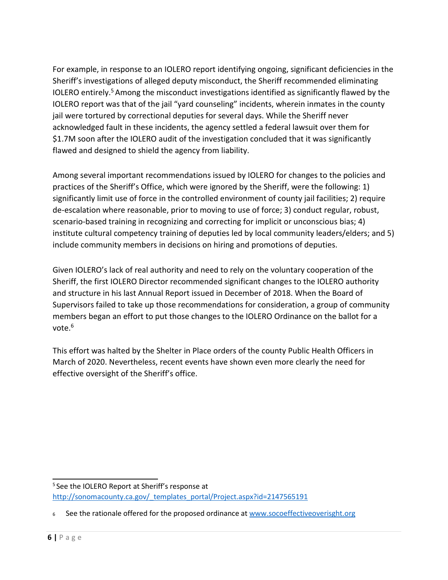For example, in response to an IOLERO report identifying ongoing, significant deficiencies in the Sheriff's investigations of alleged deputy misconduct, the Sheriff recommended eliminating IOLERO entirely. [5 A](#page-6-0)mong the misconduct investigations identified as significantly flawed by the IOLERO report was that of the jail "yard counseling" incidents, wherein inmates in the county jail were tortured by correctional deputies for several days. While the Sheriff never acknowledged fault in these incidents, the agency settled a federal lawsuit over them for \$1.7M soon after the IOLERO audit of the investigation concluded that it was significantly flawed and designed to shield the agency from liability.

Among several important recommendations issued by IOLERO for changes to the policies and practices of the Sheriff's Office, which were ignored by the Sheriff, were the following: 1) significantly limit use of force in the controlled environment of county jail facilities; 2) require de-escalation where reasonable, prior to moving to use of force; 3) conduct regular, robust, scenario-based training in recognizing and correcting for implicit or unconscious bias; 4) institute cultural competency training of deputies led by local community leaders/elders; and 5) include community members in decisions on hiring and promotions of deputies.

Given IOLERO's lack of real authority and need to rely on the voluntary cooperation of the Sheriff, the first IOLERO Director recommended significant changes to the IOLERO authority and structure in his last Annual Report issued in December of 2018. When the Board of Supervisors failed to take up those recommendations for consideration, a group of community members began an effort to put those changes to the IOLERO Ordinance on the ballot for a vote.<sup>6</sup>

This effort was halted by the Shelter in Place orders of the county Public Health Officers in March of 2020. Nevertheless, recent events have shown even more clearly the need for effective oversight of the Sheriff's office.

<span id="page-6-0"></span><sup>&</sup>lt;sup>5</sup> See the IOLERO Report at Sheriff's response at http://sonomacounty.ca.gov/ templates portal/Project.aspx?id=2147565191

<span id="page-6-1"></span><sup>6</sup> See the rationale offered for the proposed ordinance at [www.socoeffectiveoverisght.org](http://www.socoeffectiveoverisght.org/)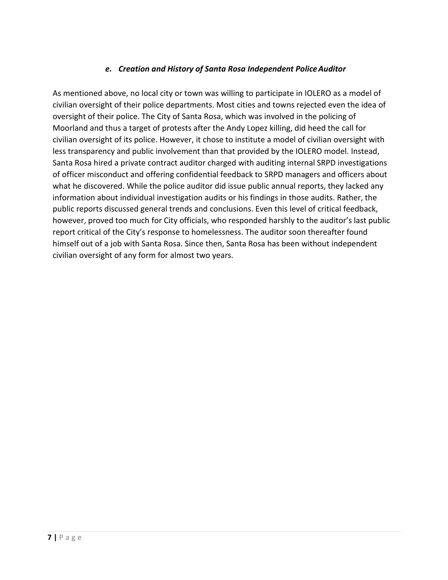# *e. Creation and History of Santa Rosa Independent PoliceAuditor*

As mentioned above, no local city or town was willing to participate in IOLERO as a model of civilian oversight of their police departments. Most cities and towns rejected even the idea of oversight of their police. The City of Santa Rosa, which was involved in the policing of Moorland and thus a target of protests after the Andy Lopez killing, did heed the call for civilian oversight of its police. However, it chose to institute a model of civilian oversight with less transparency and public involvement than that provided by the IOLERO model. Instead, Santa Rosa hired a private contract auditor charged with auditing internal SRPD investigations of officer misconduct and offering confidential feedback to SRPD managers and officers about what he discovered. While the police auditor did issue public annual reports, they lacked any information about individual investigation audits or his findings in those audits. Rather, the public reports discussed general trends and conclusions. Even this level of critical feedback, however, proved too much for City officials, who responded harshly to the auditor's last public report critical of the City's response to homelessness. The auditor soon thereafter found himself out of a job with Santa Rosa. Since then, Santa Rosa has been without independent civilian oversight of any form for almost two years.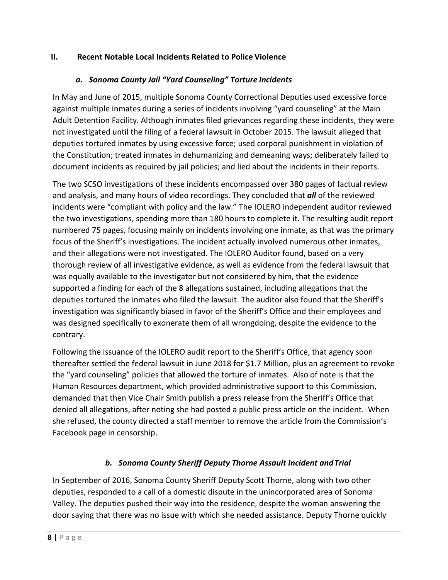# **II. Recent Notable Local Incidents Related to Police Violence**

## *a. Sonoma County Jail "Yard Counseling" Torture Incidents*

In May and June of 2015, multiple Sonoma County Correctional Deputies used excessive force against multiple inmates during a series of incidents involving "yard counseling" at the Main Adult Detention Facility. Although inmates filed grievances regarding these incidents, they were not investigated until the filing of a federal lawsuit in October 2015. The lawsuit alleged that deputies tortured inmates by using excessive force; used corporal punishment in violation of the Constitution; treated inmates in dehumanizing and demeaning ways; deliberately failed to document incidents as required by jail policies; and lied about the incidents in their reports.

The two SCSO investigations of these incidents encompassed over 380 pages of factual review and analysis, and many hours of video recordings. They concluded that *all* of the reviewed incidents were "compliant with policy and the law." The IOLERO independent auditor reviewed the two investigations, spending more than 180 hours to complete it. The resulting audit report numbered 75 pages, focusing mainly on incidents involving one inmate, as that was the primary focus of the Sheriff's investigations. The incident actually involved numerous other inmates, and their allegations were not investigated. The IOLERO Auditor found, based on a very thorough review of all investigative evidence, as well as evidence from the federal lawsuit that was equally available to the investigator but not considered by him, that the evidence supported a finding for each of the 8 allegations sustained, including allegations that the deputies tortured the inmates who filed the lawsuit. The auditor also found that the Sheriff's investigation was significantly biased in favor of the Sheriff's Office and their employees and was designed specifically to exonerate them of all wrongdoing, despite the evidence to the contrary.

Following the issuance of the IOLERO audit report to the Sheriff's Office, that agency soon thereafter settled the federal lawsuit in June 2018 for \$1.7 Million, plus an agreement to revoke the "yard counseling" policies that allowed the torture of inmates. Also of note is that the Human Resources department, which provided administrative support to this Commission, demanded that then Vice Chair Smith publish a press release from the Sheriff's Office that denied all allegations, after noting she had posted a public press article on the incident. When she refused, the county directed a staff member to remove the article from the Commission's Facebook page in censorship.

# *b. Sonoma County Sheriff Deputy Thorne Assault Incident andTrial*

In September of 2016, Sonoma County Sheriff Deputy Scott Thorne, along with two other deputies, responded to a call of a domestic dispute in the unincorporated area of Sonoma Valley. The deputies pushed their way into the residence, despite the woman answering the door saying that there was no issue with which she needed assistance. Deputy Thorne quickly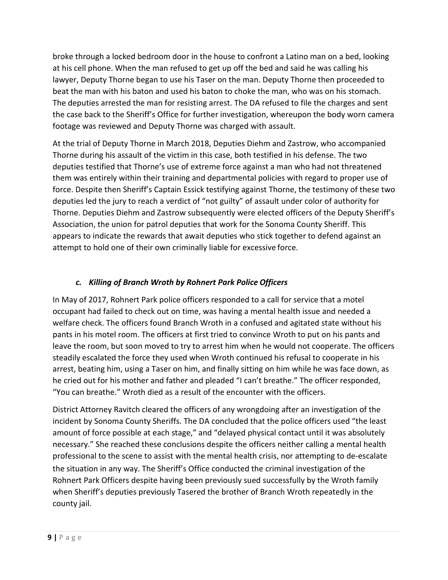broke through a locked bedroom door in the house to confront a Latino man on a bed, looking at his cell phone. When the man refused to get up off the bed and said he was calling his lawyer, Deputy Thorne began to use his Taser on the man. Deputy Thorne then proceeded to beat the man with his baton and used his baton to choke the man, who was on his stomach. The deputies arrested the man for resisting arrest. The DA refused to file the charges and sent the case back to the Sheriff's Office for further investigation, whereupon the body worn camera footage was reviewed and Deputy Thorne was charged with assault.

At the trial of Deputy Thorne in March 2018, Deputies Diehm and Zastrow, who accompanied Thorne during his assault of the victim in this case, both testified in his defense. The two deputies testified that Thorne's use of extreme force against a man who had not threatened them was entirely within their training and departmental policies with regard to proper use of force. Despite then Sheriff's Captain Essick testifying against Thorne, the testimony of these two deputies led the jury to reach a verdict of "not guilty" of assault under color of authority for Thorne. Deputies Diehm and Zastrow subsequently were elected officers of the Deputy Sheriff's Association, the union for patrol deputies that work for the Sonoma County Sheriff. This appears to indicate the rewards that await deputies who stick together to defend against an attempt to hold one of their own criminally liable for excessive force.

# *c. Killing of Branch Wroth by Rohnert Park Police Officers*

In May of 2017, Rohnert Park police officers responded to a call for service that a motel occupant had failed to check out on time, was having a mental health issue and needed a welfare check. The officers found Branch Wroth in a confused and agitated state without his pants in his motel room. The officers at first tried to convince Wroth to put on his pants and leave the room, but soon moved to try to arrest him when he would not cooperate. The officers steadily escalated the force they used when Wroth continued his refusal to cooperate in his arrest, beating him, using a Taser on him, and finally sitting on him while he was face down, as he cried out for his mother and father and pleaded "I can't breathe." The officer responded, "You can breathe." Wroth died as a result of the encounter with the officers.

District Attorney Ravitch cleared the officers of any wrongdoing after an investigation of the incident by Sonoma County Sheriffs. The DA concluded that the police officers used "the least amount of force possible at each stage," and "delayed physical contact until it was absolutely necessary." She reached these conclusions despite the officers neither calling a mental health professional to the scene to assist with the mental health crisis, nor attempting to de-escalate the situation in any way. The Sheriff's Office conducted the criminal investigation of the Rohnert Park Officers despite having been previously sued successfully by the Wroth family when Sheriff's deputies previously Tasered the brother of Branch Wroth repeatedly in the county jail.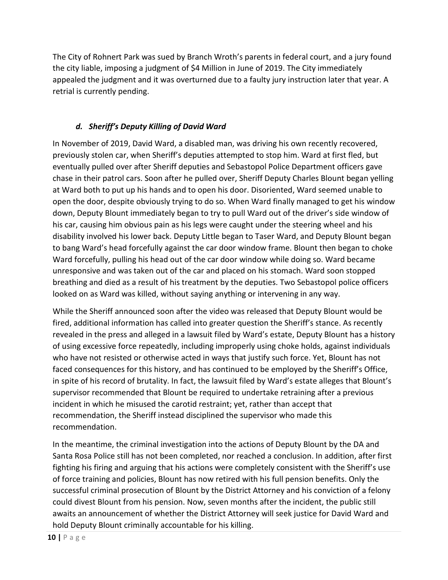The City of Rohnert Park was sued by Branch Wroth's parents in federal court, and a jury found the city liable, imposing a judgment of \$4 Million in June of 2019. The City immediately appealed the judgment and it was overturned due to a faulty jury instruction later that year. A retrial is currently pending.

#### *d. Sheriff's Deputy Killing of David Ward*

In November of 2019, David Ward, a disabled man, was driving his own recently recovered, previously stolen car, when Sheriff's deputies attempted to stop him. Ward at first fled, but eventually pulled over after Sheriff deputies and Sebastopol Police Department officers gave chase in their patrol cars. Soon after he pulled over, Sheriff Deputy Charles Blount began yelling at Ward both to put up his hands and to open his door. Disoriented, Ward seemed unable to open the door, despite obviously trying to do so. When Ward finally managed to get his window down, Deputy Blount immediately began to try to pull Ward out of the driver's side window of his car, causing him obvious pain as his legs were caught under the steering wheel and his disability involved his lower back. Deputy Little began to Taser Ward, and Deputy Blount began to bang Ward's head forcefully against the car door window frame. Blount then began to choke Ward forcefully, pulling his head out of the car door window while doing so. Ward became unresponsive and was taken out of the car and placed on his stomach. Ward soon stopped breathing and died as a result of his treatment by the deputies. Two Sebastopol police officers looked on as Ward was killed, without saying anything or intervening in any way.

While the Sheriff announced soon after the video was released that Deputy Blount would be fired, additional information has called into greater question the Sheriff's stance. As recently revealed in the press and alleged in a lawsuit filed by Ward's estate, Deputy Blount has a history of using excessive force repeatedly, including improperly using choke holds, against individuals who have not resisted or otherwise acted in ways that justify such force. Yet, Blount has not faced consequences for this history, and has continued to be employed by the Sheriff's Office, in spite of his record of brutality. In fact, the lawsuit filed by Ward's estate alleges that Blount's supervisor recommended that Blount be required to undertake retraining after a previous incident in which he misused the carotid restraint; yet, rather than accept that recommendation, the Sheriff instead disciplined the supervisor who made this recommendation.

In the meantime, the criminal investigation into the actions of Deputy Blount by the DA and Santa Rosa Police still has not been completed, nor reached a conclusion. In addition, after first fighting his firing and arguing that his actions were completely consistent with the Sheriff's use of force training and policies, Blount has now retired with his full pension benefits. Only the successful criminal prosecution of Blount by the District Attorney and his conviction of a felony could divest Blount from his pension. Now, seven months after the incident, the public still awaits an announcement of whether the District Attorney will seek justice for David Ward and hold Deputy Blount criminally accountable for his killing.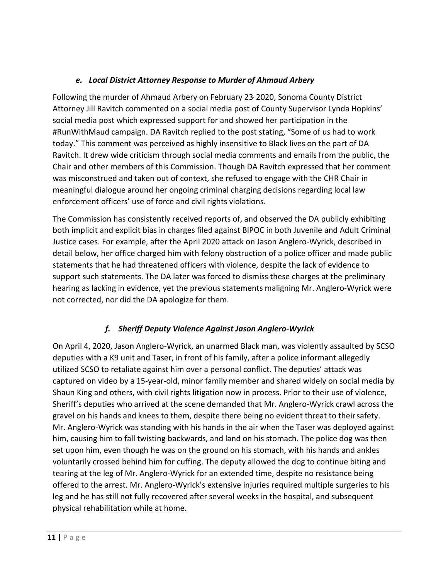# *e. Local District Attorney Response to Murder of Ahmaud Arbery*

Following the murder of Ahmaud Arbery on February 23, 2020, Sonoma County District Attorney Jill Ravitch commented on a social media post of County Supervisor Lynda Hopkins' social media post which expressed support for and showed her participation in the #RunWithMaud campaign. DA Ravitch replied to the post stating, "Some of us had to work today." This comment was perceived as highly insensitive to Black lives on the part of DA Ravitch. It drew wide criticism through social media comments and emails from the public, the Chair and other members of this Commission. Though DA Ravitch expressed that her comment was misconstrued and taken out of context, she refused to engage with the CHR Chair in meaningful dialogue around her ongoing criminal charging decisions regarding local law enforcement officers' use of force and civil rights violations.

The Commission has consistently received reports of, and observed the DA publicly exhibiting both implicit and explicit bias in charges filed against BIPOC in both Juvenile and Adult Criminal Justice cases. For example, after the April 2020 attack on Jason Anglero-Wyrick, described in detail below, her office charged him with felony obstruction of a police officer and made public statements that he had threatened officers with violence, despite the lack of evidence to support such statements. The DA later was forced to dismiss these charges at the preliminary hearing as lacking in evidence, yet the previous statements maligning Mr. Anglero-Wyrick were not corrected, nor did the DA apologize for them.

# *f. Sheriff Deputy Violence Against Jason Anglero-Wyrick*

On April 4, 2020, Jason Anglero-Wyrick, an unarmed Black man, was violently assaulted by SCSO deputies with a K9 unit and Taser, in front of his family, after a police informant allegedly utilized SCSO to retaliate against him over a personal conflict. The deputies' attack was captured on video by a 15-year-old, minor family member and shared widely on social media by Shaun King and others, with civil rights litigation now in process. Prior to their use of violence, Sheriff's deputies who arrived at the scene demanded that Mr. Anglero-Wyrick crawl across the gravel on his hands and knees to them, despite there being no evident threat to theirsafety. Mr. Anglero-Wyrick was standing with his hands in the air when the Taser was deployed against him, causing him to fall twisting backwards, and land on his stomach. The police dog was then set upon him, even though he was on the ground on his stomach, with his hands and ankles voluntarily crossed behind him for cuffing. The deputy allowed the dog to continue biting and tearing at the leg of Mr. Anglero-Wyrick for an extended time, despite no resistance being offered to the arrest. Mr. Anglero-Wyrick's extensive injuries required multiple surgeries to his leg and he has still not fully recovered after several weeks in the hospital, and subsequent physical rehabilitation while at home.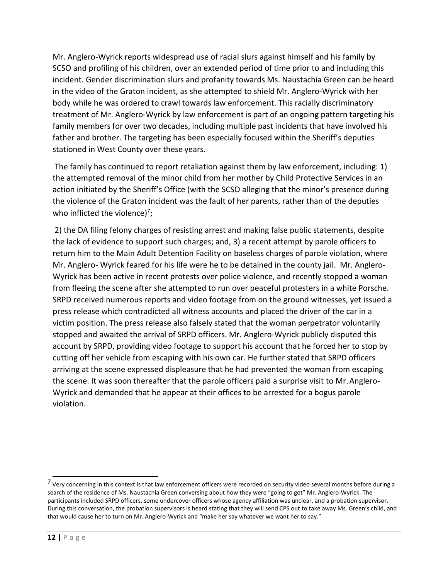Mr. Anglero-Wyrick reports widespread use of racial slurs against himself and his family by SCSO and profiling of his children, over an extended period of time prior to and including this incident. Gender discrimination slurs and profanity towards Ms. Naustachia Green can be heard in the video of the Graton incident, as she attempted to shield Mr. Anglero-Wyrick with her body while he was ordered to crawl towards law enforcement. This racially discriminatory treatment of Mr. Anglero-Wyrick by law enforcement is part of an ongoing pattern targeting his family members for over two decades, including multiple past incidents that have involved his father and brother. The targeting has been especially focused within the Sheriff's deputies stationed in West County over these years.

The family has continued to report retaliation against them by law enforcement, including: 1) the attempted removal of the minor child from her mother by Child Protective Services in an action initiated by the Sheriff's Office (with the SCSO alleging that the minor's presence during the violence of the Graton incident was the fault of her parents, rather than of the deputies who inflicted the violence) $^7$ ;

2) the DA filing felony charges of resisting arrest and making false public statements, despite the lack of evidence to support such charges; and, 3) a recent attempt by parole officers to return him to the Main Adult Detention Facility on baseless charges of parole violation, where Mr. Anglero- Wyrick feared for his life were he to be detained in the county jail. Mr. Anglero-Wyrick has been active in recent protests over police violence, and recently stopped a woman from fleeing the scene after she attempted to run over peaceful protesters in a white Porsche. SRPD received numerous reports and video footage from on the ground witnesses, yet issued a press release which contradicted all witness accounts and placed the driver of the car in a victim position. The press release also falsely stated that the woman perpetrator voluntarily stopped and awaited the arrival of SRPD officers. Mr. Anglero-Wyrick publicly disputed this account by SRPD, providing video footage to support his account that he forced her to stop by cutting off her vehicle from escaping with his own car. He further stated that SRPD officers arriving at the scene expressed displeasure that he had prevented the woman from escaping the scene. It was soon thereafter that the parole officers paid a surprise visit to Mr. Anglero-Wyrick and demanded that he appear at their offices to be arrested for a bogus parole violation.

<span id="page-12-0"></span><sup>&</sup>lt;sup>7</sup> Very concerning in this context is that law enforcement officers were recorded on security video several months before during a search of the residence of Ms. Naustachia Green conversing about how they were "going to get" Mr. Anglero-Wyrick. The participants included SRPD officers, some undercover officers whose agency affiliation was unclear, and a probation supervisor. During this conversation, the probation supervisors is heard stating that they will send CPS out to take away Ms. Green's child, and that would cause her to turn on Mr. Anglero-Wyrick and "make her say whatever we want her to say."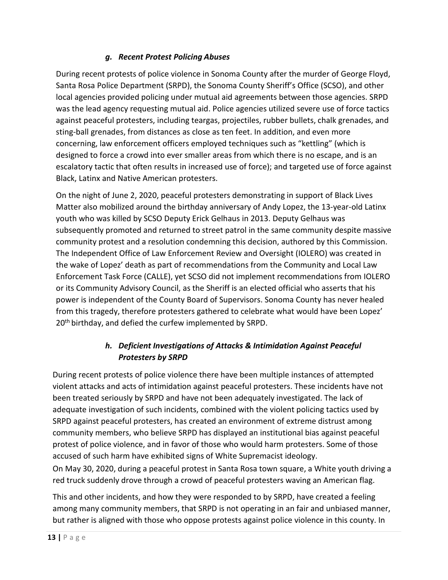# *g. Recent Protest Policing Abuses*

During recent protests of police violence in Sonoma County after the murder of George Floyd, Santa Rosa Police Department (SRPD), the Sonoma County Sheriff's Office (SCSO), and other local agencies provided policing under mutual aid agreements between those agencies. SRPD was the lead agency requesting mutual aid. Police agencies utilized severe use of force tactics against peaceful protesters, including teargas, projectiles, rubber bullets, chalk grenades, and sting-ball grenades, from distances as close as ten feet. In addition, and even more concerning, law enforcement officers employed techniques such as "kettling" (which is designed to force a crowd into ever smaller areas from which there is no escape, and is an escalatory tactic that often results in increased use of force); and targeted use of force against Black, Latinx and Native American protesters.

On the night of June 2, 2020, peaceful protesters demonstrating in support of Black Lives Matter also mobilized around the birthday anniversary of Andy Lopez, the 13-year-old Latinx youth who was killed by SCSO Deputy Erick Gelhaus in 2013. Deputy Gelhaus was subsequently promoted and returned to street patrol in the same community despite massive community protest and a resolution condemning this decision, authored by this Commission. The Independent Office of Law Enforcement Review and Oversight (IOLERO) was created in the wake of Lopez' death as part of recommendations from the Community and Local Law Enforcement Task Force (CALLE), yet SCSO did not implement recommendations from IOLERO or its Community Advisory Council, as the Sheriff is an elected official who asserts that his power is independent of the County Board of Supervisors. Sonoma County has never healed from this tragedy, therefore protesters gathered to celebrate what would have been Lopez' 20<sup>th</sup> birthday, and defied the curfew implemented by SRPD.

# *h. Deficient Investigations of Attacks & Intimidation Against Peaceful Protesters by SRPD*

During recent protests of police violence there have been multiple instances of attempted violent attacks and acts of intimidation against peaceful protesters. These incidents have not been treated seriously by SRPD and have not been adequately investigated. The lack of adequate investigation of such incidents, combined with the violent policing tactics used by SRPD against peaceful protesters, has created an environment of extreme distrust among community members, who believe SRPD has displayed an institutional bias against peaceful protest of police violence, and in favor of those who would harm protesters. Some of those accused of such harm have exhibited signs of White Supremacist ideology.

On May 30, 2020, during a peaceful protest in Santa Rosa town square, a White youth driving a red truck suddenly drove through a crowd of peaceful protesters waving an American flag.

This and other incidents, and how they were responded to by SRPD, have created a feeling among many community members, that SRPD is not operating in an fair and unbiased manner, but rather is aligned with those who oppose protests against police violence in this county. In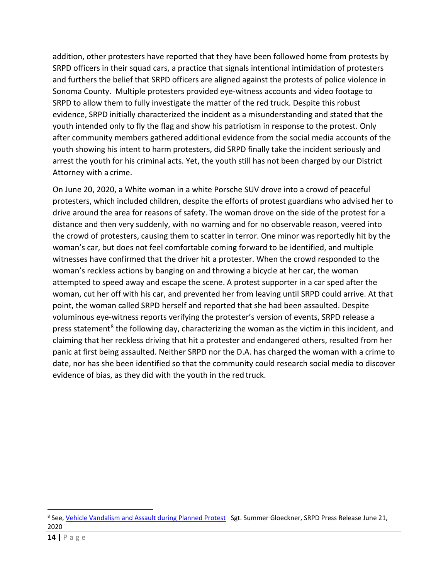addition, other protesters have reported that they have been followed home from protests by SRPD officers in their squad cars, a practice that signals intentional intimidation of protesters and furthers the belief that SRPD officers are aligned against the protests of police violence in Sonoma County. Multiple protesters provided eye-witness accounts and video footage to SRPD to allow them to fully investigate the matter of the red truck. Despite this robust evidence, SRPD initially characterized the incident as a misunderstanding and stated that the youth intended only to fly the flag and show his patriotism in response to the protest. Only after community members gathered additional evidence from the social media accounts of the youth showing his intent to harm protesters, did SRPD finally take the incident seriously and arrest the youth for his criminal acts. Yet, the youth still has not been charged by our District Attorney with a crime.

On June 20, 2020, a White woman in a white Porsche SUV drove into a crowd of peaceful protesters, which included children, despite the efforts of protest guardians who advised her to drive around the area for reasons of safety. The woman drove on the side of the protest for a distance and then very suddenly, with no warning and for no observable reason, veered into the crowd of protesters, causing them to scatter in terror. One minor was reportedly hit by the woman's car, but does not feel comfortable coming forward to be identified, and multiple witnesses have confirmed that the driver hit a protester. When the crowd responded to the woman's reckless actions by banging on and throwing a bicycle at her car, the woman attempted to speed away and escape the scene. A protest supporter in a car sped after the woman, cut her off with his car, and prevented her from leaving until SRPD could arrive. At that point, the woman called SRPD herself and reported that she had been assaulted. Despite voluminous eye-witness reports verifying the protester's version of events, SRPD release a press statement<sup>[8](#page-14-0)</sup> the following day, characterizing the woman as the victim in this incident, and claiming that her reckless driving that hit a protester and endangered others, resulted from her panic at first being assaulted. Neither SRPD nor the D.A. has charged the woman with a crime to date, nor has she been identified so that the community could research social media to discover evidence of bias, as they did with the youth in the red truck.

 $\overline{a}$ 

<span id="page-14-0"></span><sup>&</sup>lt;sup>8</sup> See, [Vehicle Vandalism and Assault during Planned Protest](https://local.nixle.com/alert/8070004/) Sgt. Summer Gloeckner, SRPD Press Release June 21, 2020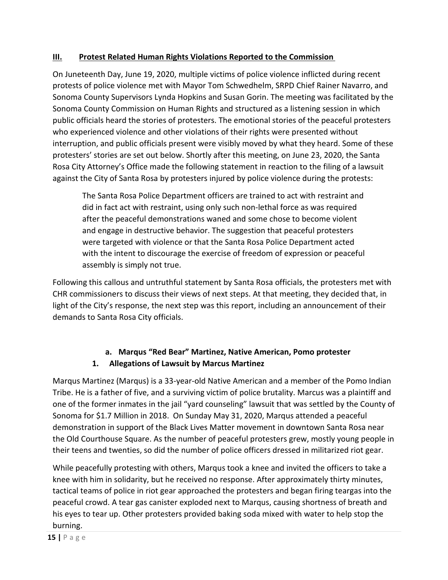# **III. Protest Related Human Rights Violations Reported to the Commission**

On Juneteenth Day, June 19, 2020, multiple victims of police violence inflicted during recent protests of police violence met with Mayor Tom Schwedhelm, SRPD Chief Rainer Navarro, and Sonoma County Supervisors Lynda Hopkins and Susan Gorin. The meeting was facilitated by the Sonoma County Commission on Human Rights and structured as a listening session in which public officials heard the stories of protesters. The emotional stories of the peaceful protesters who experienced violence and other violations of their rights were presented without interruption, and public officials present were visibly moved by what they heard. Some of these protesters' stories are set out below. Shortly after this meeting, on June 23, 2020, the Santa Rosa City Attorney's Office made the following statement in reaction to the filing of a lawsuit against the City of Santa Rosa by protesters injured by police violence during the protests:

The Santa Rosa Police Department officers are trained to act with restraint and did in fact act with restraint, using only such non-lethal force as was required after the peaceful demonstrations waned and some chose to become violent and engage in destructive behavior. The suggestion that peaceful protesters were targeted with violence or that the Santa Rosa Police Department acted with the intent to discourage the exercise of freedom of expression or peaceful assembly is simply not true.

Following this callous and untruthful statement by Santa Rosa officials, the protesters met with CHR commissioners to discuss their views of next steps. At that meeting, they decided that, in light of the City's response, the next step was this report, including an announcement of their demands to Santa Rosa City officials.

# **a. Marqus "Red Bear" Martinez, Native American, Pomo protester 1. Allegations of Lawsuit by Marcus Martinez**

Marqus Martinez (Marqus) is a 33-year-old Native American and a member of the Pomo Indian Tribe. He is a father of five, and a surviving victim of police brutality. Marcus was a plaintiff and one of the former inmates in the jail "yard counseling" lawsuit that was settled by the County of Sonoma for \$1.7 Million in 2018. On Sunday May 31, 2020, Marqus attended a peaceful demonstration in support of the Black Lives Matter movement in downtown Santa Rosa near the Old Courthouse Square. As the number of peaceful protesters grew, mostly young people in their teens and twenties, so did the number of police officers dressed in militarized riot gear.

While peacefully protesting with others, Marqus took a knee and invited the officers to take a knee with him in solidarity, but he received no response. After approximately thirty minutes, tactical teams of police in riot gear approached the protesters and began firing teargas into the peaceful crowd. A tear gas canister exploded next to Marqus, causing shortness of breath and his eyes to tear up. Other protesters provided baking soda mixed with water to help stop the burning.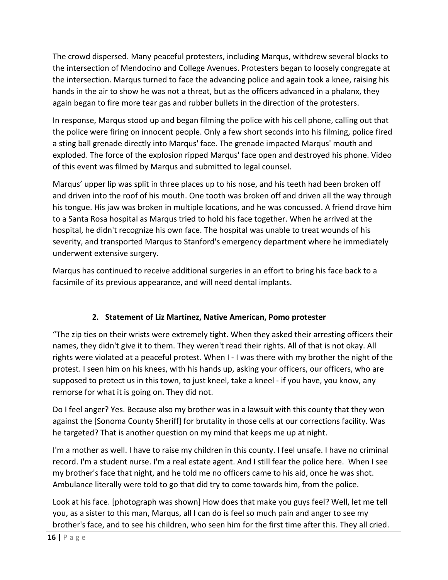The crowd dispersed. Many peaceful protesters, including Marqus, withdrew several blocks to the intersection of Mendocino and College Avenues. Protesters began to loosely congregate at the intersection. Marqus turned to face the advancing police and again took a knee, raising his hands in the air to show he was not a threat, but as the officers advanced in a phalanx, they again began to fire more tear gas and rubber bullets in the direction of the protesters.

In response, Marqus stood up and began filming the police with his cell phone, calling out that the police were firing on innocent people. Only a few short seconds into his filming, police fired a sting ball grenade directly into Marqus' face. The grenade impacted Marqus' mouth and exploded. The force of the explosion ripped Marqus' face open and destroyed his phone. Video of this event was filmed by Marqus and submitted to legal counsel.

Marqus' upper lip was split in three places up to his nose, and his teeth had been broken off and driven into the roof of his mouth. One tooth was broken off and driven all the way through his tongue. His jaw was broken in multiple locations, and he was concussed. A friend drove him to a Santa Rosa hospital as Marqus tried to hold his face together. When he arrived at the hospital, he didn't recognize his own face. The hospital was unable to treat wounds of his severity, and transported Marqus to Stanford's emergency department where he immediately underwent extensive surgery.

Marqus has continued to receive additional surgeries in an effort to bring his face back to a facsimile of its previous appearance, and will need dental implants.

# **2. Statement of Liz Martinez, Native American, Pomo protester**

"The zip ties on their wrists were extremely tight. When they asked their arresting officers their names, they didn't give it to them. They weren't read their rights. All of that is not okay. All rights were violated at a peaceful protest. When I - I was there with my brother the night of the protest. I seen him on his knees, with his hands up, asking your officers, our officers, who are supposed to protect us in this town, to just kneel, take a kneel - if you have, you know, any remorse for what it is going on. They did not.

Do I feel anger? Yes. Because also my brother was in a lawsuit with this county that they won against the [Sonoma County Sheriff] for brutality in those cells at our corrections facility. Was he targeted? That is another question on my mind that keeps me up at night.

I'm a mother as well. I have to raise my children in this county. I feel unsafe. I have no criminal record. I'm a student nurse. I'm a real estate agent. And I still fear the police here. When I see my brother's face that night, and he told me no officers came to his aid, once he was shot. Ambulance literally were told to go that did try to come towards him, from the police.

Look at his face. [photograph was shown] How does that make you guys feel? Well, let me tell you, as a sister to this man, Marqus, all I can do is feel so much pain and anger to see my brother's face, and to see his children, who seen him for the first time after this. They all cried.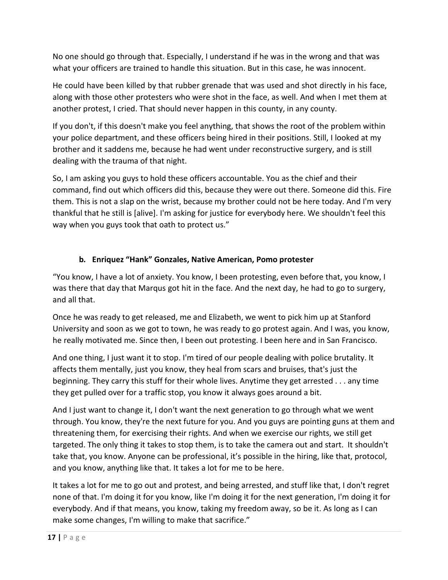No one should go through that. Especially, I understand if he was in the wrong and that was what your officers are trained to handle this situation. But in this case, he was innocent.

He could have been killed by that rubber grenade that was used and shot directly in his face, along with those other protesters who were shot in the face, as well. And when I met them at another protest, I cried. That should never happen in this county, in any county.

If you don't, if this doesn't make you feel anything, that shows the root of the problem within your police department, and these officers being hired in their positions. Still, I looked at my brother and it saddens me, because he had went under reconstructive surgery, and is still dealing with the trauma of that night.

So, I am asking you guys to hold these officers accountable. You as the chief and their command, find out which officers did this, because they were out there. Someone did this. Fire them. This is not a slap on the wrist, because my brother could not be here today. And I'm very thankful that he still is [alive]. I'm asking for justice for everybody here. We shouldn't feel this way when you guys took that oath to protect us."

# **b. Enriquez "Hank" Gonzales, Native American, Pomo protester**

"You know, I have a lot of anxiety. You know, I been protesting, even before that, you know, I was there that day that Marqus got hit in the face. And the next day, he had to go to surgery, and all that.

Once he was ready to get released, me and Elizabeth, we went to pick him up at Stanford University and soon as we got to town, he was ready to go protest again. And I was, you know, he really motivated me. Since then, I been out protesting. I been here and in San Francisco.

And one thing, I just want it to stop. I'm tired of our people dealing with police brutality. It affects them mentally, just you know, they heal from scars and bruises, that's just the beginning. They carry this stuff for their whole lives. Anytime they get arrested . . . any time they get pulled over for a traffic stop, you know it always goes around a bit.

And I just want to change it, I don't want the next generation to go through what we went through. You know, they're the next future for you. And you guys are pointing guns at them and threatening them, for exercising their rights. And when we exercise our rights, we still get targeted. The only thing it takes to stop them, is to take the camera out and start. It shouldn't take that, you know. Anyone can be professional, it's possible in the hiring, like that, protocol, and you know, anything like that. It takes a lot for me to be here.

It takes a lot for me to go out and protest, and being arrested, and stuff like that, I don't regret none of that. I'm doing it for you know, like I'm doing it for the next generation, I'm doing it for everybody. And if that means, you know, taking my freedom away, so be it. As long as I can make some changes, I'm willing to make that sacrifice."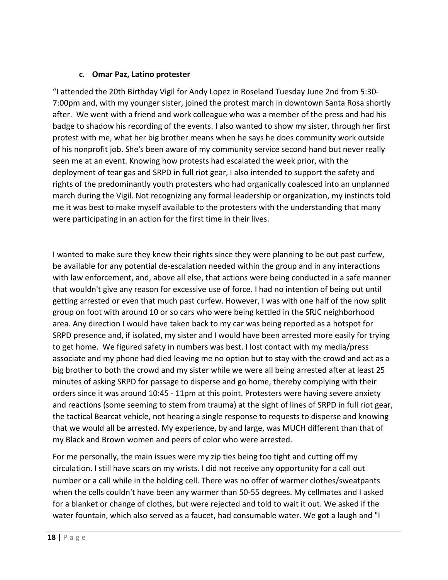#### **c. Omar Paz, Latino protester**

"I attended the 20th Birthday Vigil for Andy Lopez in Roseland Tuesday June 2nd from 5:30- 7:00pm and, with my younger sister, joined the protest march in downtown Santa Rosa shortly after. We went with a friend and work colleague who was a member of the press and had his badge to shadow his recording of the events. I also wanted to show my sister, through her first protest with me, what her big brother means when he says he does community work outside of his nonprofit job. She's been aware of my community service second hand but never really seen me at an event. Knowing how protests had escalated the week prior, with the deployment of tear gas and SRPD in full riot gear, I also intended to support the safety and rights of the predominantly youth protesters who had organically coalesced into an unplanned march during the Vigil. Not recognizing any formal leadership or organization, my instincts told me it was best to make myself available to the protesters with the understanding that many were participating in an action for the first time in their lives.

I wanted to make sure they knew their rights since they were planning to be out past curfew, be available for any potential de-escalation needed within the group and in any interactions with law enforcement, and, above all else, that actions were being conducted in a safe manner that wouldn't give any reason for excessive use of force. I had no intention of being out until getting arrested or even that much past curfew. However, I was with one half of the now split group on foot with around 10 or so cars who were being kettled in the SRJC neighborhood area. Any direction I would have taken back to my car was being reported as a hotspot for SRPD presence and, if isolated, my sister and I would have been arrested more easily for trying to get home. We figured safety in numbers was best. I lost contact with my media/press associate and my phone had died leaving me no option but to stay with the crowd and act as a big brother to both the crowd and my sister while we were all being arrested after at least 25 minutes of asking SRPD for passage to disperse and go home, thereby complying with their orders since it was around 10:45 - 11pm at this point. Protesters were having severe anxiety and reactions (some seeming to stem from trauma) at the sight of lines of SRPD in full riot gear, the tactical Bearcat vehicle, not hearing a single response to requests to disperse and knowing that we would all be arrested. My experience, by and large, was MUCH different than that of my Black and Brown women and peers of color who were arrested.

For me personally, the main issues were my zip ties being too tight and cutting off my circulation. I still have scars on my wrists. I did not receive any opportunity for a call out number or a call while in the holding cell. There was no offer of warmer clothes/sweatpants when the cells couldn't have been any warmer than 50-55 degrees. My cellmates and I asked for a blanket or change of clothes, but were rejected and told to wait it out. We asked if the water fountain, which also served as a faucet, had consumable water. We got a laugh and "I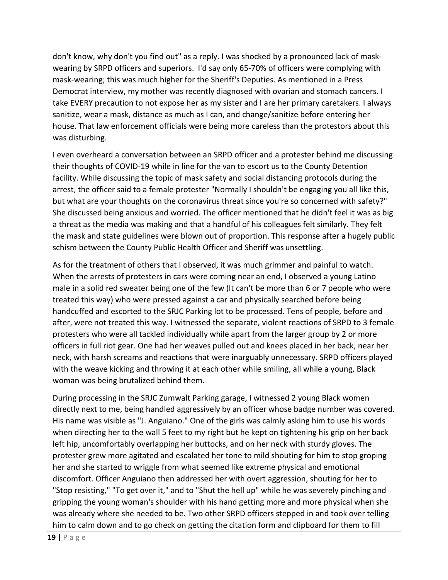don't know, why don't you find out" as a reply. I was shocked by a pronounced lack of maskwearing by SRPD officers and superiors. I'd say only 65-70% of officers were complying with mask-wearing; this was much higher for the Sheriff's Deputies. As mentioned in a Press Democrat interview, my mother was recently diagnosed with ovarian and stomach cancers. I take EVERY precaution to not expose her as my sister and I are her primary caretakers. I always sanitize, wear a mask, distance as much as I can, and change/sanitize before entering her house. That law enforcement officials were being more careless than the protestors about this was disturbing.

I even overheard a conversation between an SRPD officer and a protester behind me discussing their thoughts of COVID-19 while in line for the van to escort us to the County Detention facility. While discussing the topic of mask safety and social distancing protocols during the arrest, the officer said to a female protester "Normally I shouldn't be engaging you all like this, but what are your thoughts on the coronavirus threat since you're so concerned with safety?" She discussed being anxious and worried. The officer mentioned that he didn't feel it was as big a threat as the media was making and that a handful of his colleagues felt similarly. They felt the mask and state guidelines were blown out of proportion. This response after a hugely public schism between the County Public Health Officer and Sheriff was unsettling.

As for the treatment of others that I observed, it was much grimmer and painful to watch. When the arrests of protesters in cars were coming near an end, I observed a young Latino male in a solid red sweater being one of the few (It can't be more than 6 or 7 people who were treated this way) who were pressed against a car and physically searched before being handcuffed and escorted to the SRJC Parking lot to be processed. Tens of people, before and after, were not treated this way. I witnessed the separate, violent reactions of SRPD to 3 female protesters who were all tackled individually while apart from the larger group by 2 or more officers in full riot gear. One had her weaves pulled out and knees placed in her back, near her neck, with harsh screams and reactions that were inarguably unnecessary. SRPD officers played with the weave kicking and throwing it at each other while smiling, all while a young, Black woman was being brutalized behind them.

During processing in the SRJC Zumwalt Parking garage, I witnessed 2 young Black women directly next to me, being handled aggressively by an officer whose badge number was covered. His name was visible as "J. Anguiano." One of the girls was calmly asking him to use his words when directing her to the wall 5 feet to my right but he kept on tightening his grip on her back left hip, uncomfortably overlapping her buttocks, and on her neck with sturdy gloves. The protester grew more agitated and escalated her tone to mild shouting for him to stop groping her and she started to wriggle from what seemed like extreme physical and emotional discomfort. Officer Anguiano then addressed her with overt aggression, shouting for her to "Stop resisting," "To get over it," and to "Shut the hell up" while he was severely pinching and gripping the young woman's shoulder with his hand getting more and more physical when she was already where she needed to be. Two other SRPD officers stepped in and took over telling him to calm down and to go check on getting the citation form and clipboard for them to fill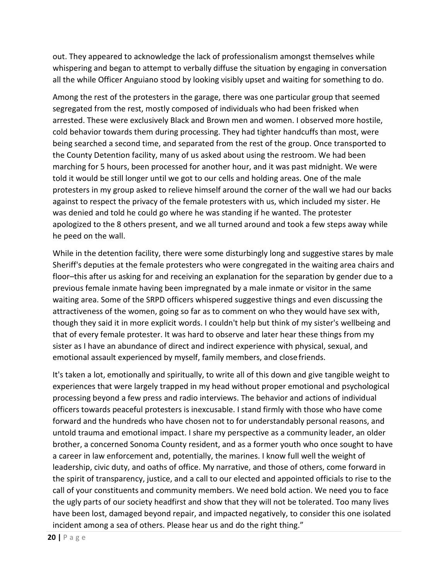out. They appeared to acknowledge the lack of professionalism amongst themselves while whispering and began to attempt to verbally diffuse the situation by engaging in conversation all the while Officer Anguiano stood by looking visibly upset and waiting for something to do.

Among the rest of the protesters in the garage, there was one particular group that seemed segregated from the rest, mostly composed of individuals who had been frisked when arrested. These were exclusively Black and Brown men and women. I observed more hostile, cold behavior towards them during processing. They had tighter handcuffs than most, were being searched a second time, and separated from the rest of the group. Once transported to the County Detention facility, many of us asked about using the restroom. We had been marching for 5 hours, been processed for another hour, and it was past midnight. We were told it would be still longer until we got to our cells and holding areas. One of the male protesters in my group asked to relieve himself around the corner of the wall we had our backs against to respect the privacy of the female protesters with us, which included my sister. He was denied and told he could go where he was standing if he wanted. The protester apologized to the 8 others present, and we all turned around and took a few steps away while he peed on the wall.

While in the detention facility, there were some disturbingly long and suggestive stares by male Sheriff's deputies at the female protesters who were congregated in the waiting area chairs and floor–this after us asking for and receiving an explanation for the separation by gender due to a previous female inmate having been impregnated by a male inmate or visitor in the same waiting area. Some of the SRPD officers whispered suggestive things and even discussing the attractiveness of the women, going so far as to comment on who they would have sex with, though they said it in more explicit words. I couldn't help but think of my sister's wellbeing and that of every female protester. It was hard to observe and later hear these things from my sister as I have an abundance of direct and indirect experience with physical, sexual, and emotional assault experienced by myself, family members, and closefriends.

It's taken a lot, emotionally and spiritually, to write all of this down and give tangible weight to experiences that were largely trapped in my head without proper emotional and psychological processing beyond a few press and radio interviews. The behavior and actions of individual officers towards peaceful protesters is inexcusable. I stand firmly with those who have come forward and the hundreds who have chosen not to for understandably personal reasons, and untold trauma and emotional impact. I share my perspective as a community leader, an older brother, a concerned Sonoma County resident, and as a former youth who once sought to have a career in law enforcement and, potentially, the marines. I know full well the weight of leadership, civic duty, and oaths of office. My narrative, and those of others, come forward in the spirit of transparency, justice, and a call to our elected and appointed officials to rise to the call of your constituents and community members. We need bold action. We need you to face the ugly parts of our society headfirst and show that they will not be tolerated. Too many lives have been lost, damaged beyond repair, and impacted negatively, to consider this one isolated incident among a sea of others. Please hear us and do the right thing."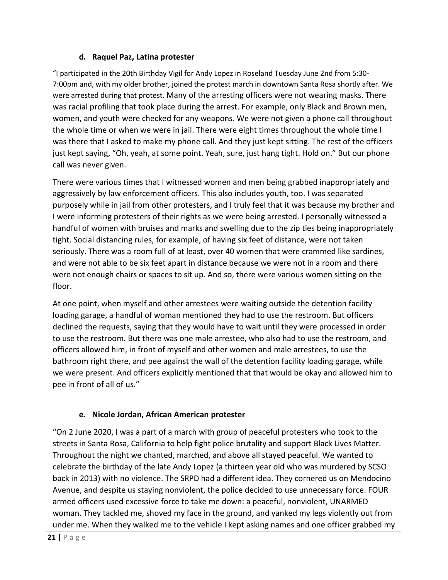#### **d. Raquel Paz, Latina protester**

"I participated in the 20th Birthday Vigil for Andy Lopez in Roseland Tuesday June 2nd from 5:30- 7:00pm and, with my older brother, joined the protest march in downtown Santa Rosa shortly after. We were arrested during that protest. Many of the arresting officers were not wearing masks. There was racial profiling that took place during the arrest. For example, only Black and Brown men, women, and youth were checked for any weapons. We were not given a phone call throughout the whole time or when we were in jail. There were eight times throughout the whole time I was there that I asked to make my phone call. And they just kept sitting. The rest of the officers just kept saying, "Oh, yeah, at some point. Yeah, sure, just hang tight. Hold on." But our phone call was never given.

There were various times that I witnessed women and men being grabbed inappropriately and aggressively by law enforcement officers. This also includes youth, too. I was separated purposely while in jail from other protesters, and I truly feel that it was because my brother and I were informing protesters of their rights as we were being arrested. I personally witnessed a handful of women with bruises and marks and swelling due to the zip ties being inappropriately tight. Social distancing rules, for example, of having six feet of distance, were not taken seriously. There was a room full of at least, over 40 women that were crammed like sardines, and were not able to be six feet apart in distance because we were not in a room and there were not enough chairs or spaces to sit up. And so, there were various women sitting on the floor.

At one point, when myself and other arrestees were waiting outside the detention facility loading garage, a handful of woman mentioned they had to use the restroom. But officers declined the requests, saying that they would have to wait until they were processed in order to use the restroom. But there was one male arrestee, who also had to use the restroom, and officers allowed him, in front of myself and other women and male arrestees, to use the bathroom right there, and pee against the wall of the detention facility loading garage, while we were present. And officers explicitly mentioned that that would be okay and allowed him to pee in front of all of us."

#### **e. Nicole Jordan, African American protester**

"On 2 June 2020, I was a part of a march with group of peaceful protesters who took to the streets in Santa Rosa, California to help fight police brutality and support Black Lives Matter. Throughout the night we chanted, marched, and above all stayed peaceful. We wanted to celebrate the birthday of the late Andy Lopez (a thirteen year old who was murdered by SCSO back in 2013) with no violence. The SRPD had a different idea. They cornered us on Mendocino Avenue, and despite us staying nonviolent, the police decided to use unnecessary force. FOUR armed officers used excessive force to take me down: a peaceful, nonviolent, UNARMED woman. They tackled me, shoved my face in the ground, and yanked my legs violently out from under me. When they walked me to the vehicle I kept asking names and one officer grabbed my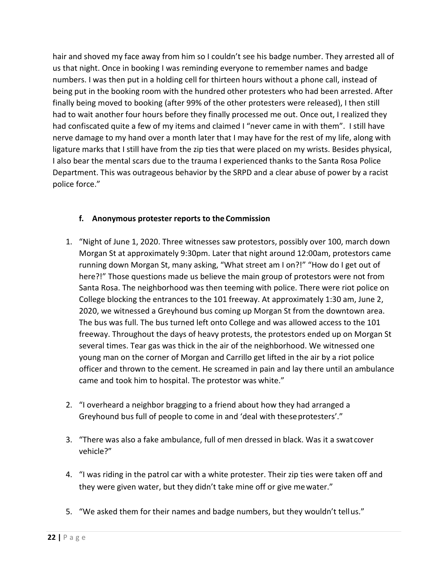hair and shoved my face away from him so I couldn't see his badge number. They arrested all of us that night. Once in booking I was reminding everyone to remember names and badge numbers. I was then put in a holding cell for thirteen hours without a phone call, instead of being put in the booking room with the hundred other protesters who had been arrested. After finally being moved to booking (after 99% of the other protesters were released), I then still had to wait another four hours before they finally processed me out. Once out, I realized they had confiscated quite a few of my items and claimed I "never came in with them". I still have nerve damage to my hand over a month later that I may have for the rest of my life, along with ligature marks that I still have from the zip ties that were placed on my wrists. Besides physical, I also bear the mental scars due to the trauma I experienced thanks to the Santa Rosa Police Department. This was outrageous behavior by the SRPD and a clear abuse of power by a racist police force."

#### **f. Anonymous protester reports to the Commission**

- 1. "Night of June 1, 2020. Three witnesses saw protestors, possibly over 100, march down Morgan St at approximately 9:30pm. Later that night around 12:00am, protestors came running down Morgan St, many asking, "What street am I on?!" "How do I get out of here?!" Those questions made us believe the main group of protestors were not from Santa Rosa. The neighborhood was then teeming with police. There were riot police on College blocking the entrances to the 101 freeway. At approximately 1:30 am, June 2, 2020, we witnessed a Greyhound bus coming up Morgan St from the downtown area. The bus was full. The bus turned left onto College and was allowed access to the 101 freeway. Throughout the days of heavy protests, the protestors ended up on Morgan St several times. Tear gas was thick in the air of the neighborhood. We witnessed one young man on the corner of Morgan and Carrillo get lifted in the air by a riot police officer and thrown to the cement. He screamed in pain and lay there until an ambulance came and took him to hospital. The protestor was white."
- 2. "I overheard a neighbor bragging to a friend about how they had arranged a Greyhound bus full of people to come in and 'deal with theseprotesters'."
- 3. "There was also a fake ambulance, full of men dressed in black. Was it a swatcover vehicle?"
- 4. "I was riding in the patrol car with a white protester. Their zip ties were taken off and they were given water, but they didn't take mine off or give mewater."
- 5. "We asked them for their names and badge numbers, but they wouldn't tellus."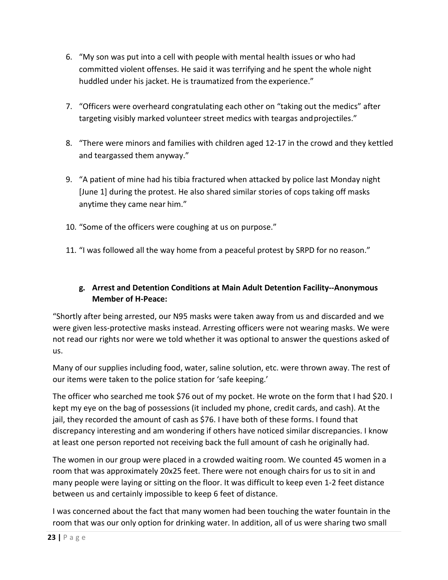- 6. "My son was put into a cell with people with mental health issues or who had committed violent offenses. He said it was terrifying and he spent the whole night huddled under his jacket. He is traumatized from the experience."
- 7. "Officers were overheard congratulating each other on "taking out the medics" after targeting visibly marked volunteer street medics with teargas and projectiles."
- 8. "There were minors and families with children aged 12-17 in the crowd and they kettled and teargassed them anyway."
- 9. "A patient of mine had his tibia fractured when attacked by police last Monday night [June 1] during the protest. He also shared similar stories of cops taking off masks anytime they came near him."
- 10. "Some of the officers were coughing at us on purpose."
- 11. "I was followed all the way home from a peaceful protest by SRPD for no reason."

# **g. Arrest and Detention Conditions at Main Adult Detention Facility--Anonymous Member of H-Peace:**

"Shortly after being arrested, our N95 masks were taken away from us and discarded and we were given less-protective masks instead. Arresting officers were not wearing masks. We were not read our rights nor were we told whether it was optional to answer the questions asked of us.

Many of our supplies including food, water, saline solution, etc. were thrown away. The rest of our items were taken to the police station for 'safe keeping.'

The officer who searched me took \$76 out of my pocket. He wrote on the form that I had \$20. I kept my eye on the bag of possessions (it included my phone, credit cards, and cash). At the jail, they recorded the amount of cash as \$76. I have both of these forms. I found that discrepancy interesting and am wondering if others have noticed similar discrepancies. I know at least one person reported not receiving back the full amount of cash he originally had.

The women in our group were placed in a crowded waiting room. We counted 45 women in a room that was approximately 20x25 feet. There were not enough chairs for us to sit in and many people were laying or sitting on the floor. It was difficult to keep even 1-2 feet distance between us and certainly impossible to keep 6 feet of distance.

I was concerned about the fact that many women had been touching the water fountain in the room that was our only option for drinking water. In addition, all of us were sharing two small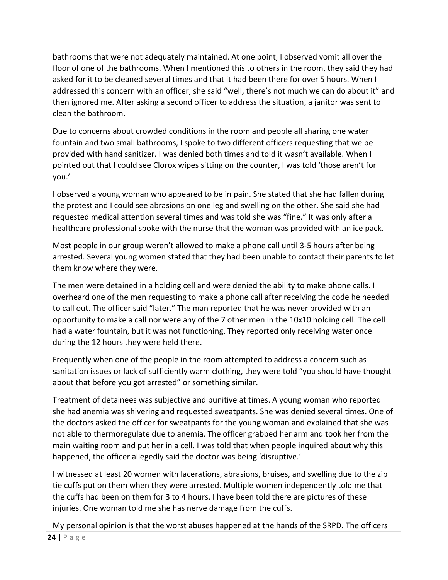bathrooms that were not adequately maintained. At one point, I observed vomit all over the floor of one of the bathrooms. When I mentioned this to others in the room, they said they had asked for it to be cleaned several times and that it had been there for over 5 hours. When I addressed this concern with an officer, she said "well, there's not much we can do about it" and then ignored me. After asking a second officer to address the situation, a janitor was sent to clean the bathroom.

Due to concerns about crowded conditions in the room and people all sharing one water fountain and two small bathrooms, I spoke to two different officers requesting that we be provided with hand sanitizer. I was denied both times and told it wasn't available. When I pointed out that I could see Clorox wipes sitting on the counter, I was told 'those aren't for you.'

I observed a young woman who appeared to be in pain. She stated that she had fallen during the protest and I could see abrasions on one leg and swelling on the other. She said she had requested medical attention several times and was told she was "fine." It was only after a healthcare professional spoke with the nurse that the woman was provided with an ice pack.

Most people in our group weren't allowed to make a phone call until 3-5 hours after being arrested. Several young women stated that they had been unable to contact their parents to let them know where they were.

The men were detained in a holding cell and were denied the ability to make phone calls. I overheard one of the men requesting to make a phone call after receiving the code he needed to call out. The officer said "later." The man reported that he was never provided with an opportunity to make a call nor were any of the 7 other men in the 10x10 holding cell. The cell had a water fountain, but it was not functioning. They reported only receiving water once during the 12 hours they were held there.

Frequently when one of the people in the room attempted to address a concern such as sanitation issues or lack of sufficiently warm clothing, they were told "you should have thought about that before you got arrested" or something similar.

Treatment of detainees was subjective and punitive at times. A young woman who reported she had anemia was shivering and requested sweatpants. She was denied several times. One of the doctors asked the officer for sweatpants for the young woman and explained that she was not able to thermoregulate due to anemia. The officer grabbed her arm and took her from the main waiting room and put her in a cell. I was told that when people inquired about why this happened, the officer allegedly said the doctor was being 'disruptive.'

I witnessed at least 20 women with lacerations, abrasions, bruises, and swelling due to the zip tie cuffs put on them when they were arrested. Multiple women independently told me that the cuffs had been on them for 3 to 4 hours. I have been told there are pictures of these injuries. One woman told me she has nerve damage from the cuffs.

**24 |** Page My personal opinion is that the worst abuses happened at the hands of the SRPD. The officers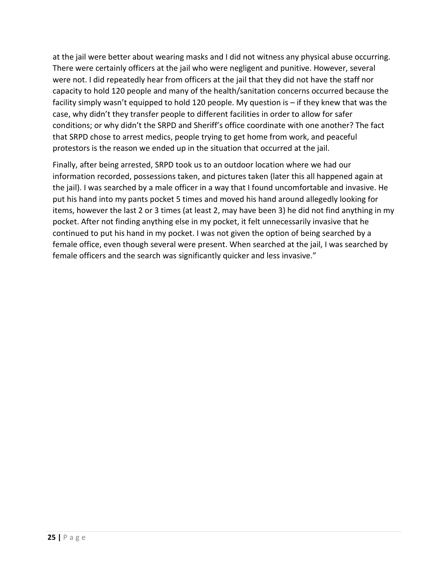at the jail were better about wearing masks and I did not witness any physical abuse occurring. There were certainly officers at the jail who were negligent and punitive. However, several were not. I did repeatedly hear from officers at the jail that they did not have the staff nor capacity to hold 120 people and many of the health/sanitation concerns occurred because the facility simply wasn't equipped to hold 120 people. My question is – if they knew that was the case, why didn't they transfer people to different facilities in order to allow for safer conditions; or why didn't the SRPD and Sheriff's office coordinate with one another? The fact that SRPD chose to arrest medics, people trying to get home from work, and peaceful protestors is the reason we ended up in the situation that occurred at the jail.

Finally, after being arrested, SRPD took us to an outdoor location where we had our information recorded, possessions taken, and pictures taken (later this all happened again at the jail). I was searched by a male officer in a way that I found uncomfortable and invasive. He put his hand into my pants pocket 5 times and moved his hand around allegedly looking for items, however the last 2 or 3 times (at least 2, may have been 3) he did not find anything in my pocket. After not finding anything else in my pocket, it felt unnecessarily invasive that he continued to put his hand in my pocket. I was not given the option of being searched by a female office, even though several were present. When searched at the jail, I was searched by female officers and the search was significantly quicker and less invasive."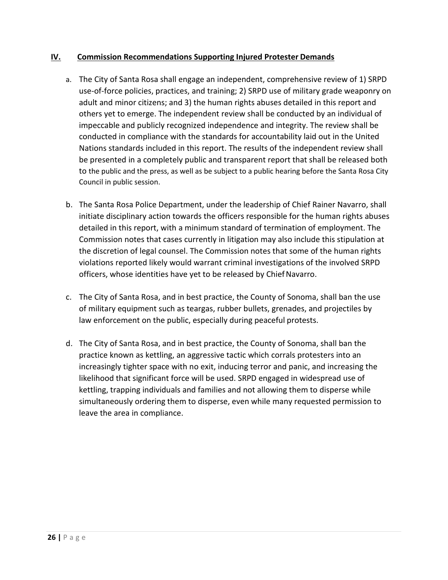#### **IV. Commission Recommendations Supporting Injured Protester Demands**

- a. The City of Santa Rosa shall engage an independent, comprehensive review of 1) SRPD use-of-force policies, practices, and training; 2) SRPD use of military grade weaponry on adult and minor citizens; and 3) the human rights abuses detailed in this report and others yet to emerge. The independent review shall be conducted by an individual of impeccable and publicly recognized independence and integrity. The review shall be conducted in compliance with the standards for accountability laid out in the United Nations standards included in this report. The results of the independent review shall be presented in a completely public and transparent report that shall be released both to the public and the press, as well as be subject to a public hearing before the Santa Rosa City Council in public session.
- b. The Santa Rosa Police Department, under the leadership of Chief Rainer Navarro, shall initiate disciplinary action towards the officers responsible for the human rights abuses detailed in this report, with a minimum standard of termination of employment. The Commission notes that cases currently in litigation may also include this stipulation at the discretion of legal counsel. The Commission notes that some of the human rights violations reported likely would warrant criminal investigations of the involved SRPD officers, whose identities have yet to be released by Chief Navarro.
- c. The City of Santa Rosa, and in best practice, the County of Sonoma, shall ban the use of military equipment such as teargas, rubber bullets, grenades, and projectiles by law enforcement on the public, especially during peaceful protests.
- d. The City of Santa Rosa, and in best practice, the County of Sonoma, shall ban the practice known as kettling, an aggressive tactic which corrals protesters into an increasingly tighter space with no exit, inducing terror and panic, and increasing the likelihood that significant force will be used. SRPD engaged in widespread use of kettling, trapping individuals and families and not allowing them to disperse while simultaneously ordering them to disperse, even while many requested permission to leave the area in compliance.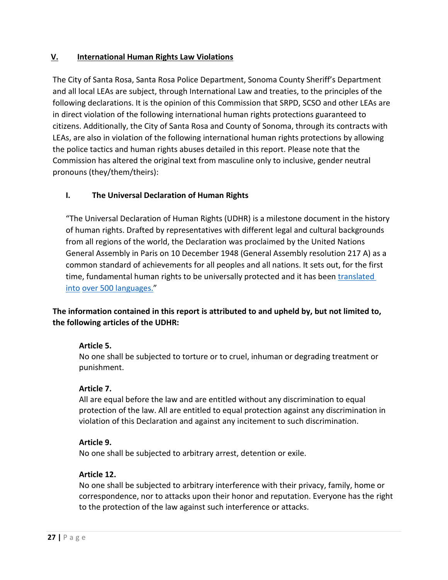# **V. International Human Rights Law Violations**

The City of Santa Rosa, Santa Rosa Police Department, Sonoma County Sheriff's Department and all local LEAs are subject, through International Law and treaties, to the principles of the following declarations. It is the opinion of this Commission that SRPD, SCSO and other LEAs are in direct violation of the following international human rights protections guaranteed to citizens. Additionally, the City of Santa Rosa and County of Sonoma, through its contracts with LEAs, are also in violation of the following international human rights protections by allowing the police tactics and human rights abuses detailed in this report. Please note that the Commission has altered the original text from masculine only to inclusive, gender neutral pronouns (they/them/theirs):

#### **I. The Universal Declaration of Human Rights**

"The Universal Declaration of Human Rights (UDHR) is a milestone document in the history of human rights. Drafted by representatives with different legal and cultural backgrounds from all regions of the world, the Declaration was proclaimed by the United Nations General Assembly in Paris on 10 December 1948 (General Assembly resolution 217 A) as a common standard of achievements for all peoples and all nations. It sets out, for the first time, fundamental human rights to be universally protected and it has been [translated](http://www.ohchr.org/EN/UDHR/Pages/SearchByLang.aspx)  [into](http://www.ohchr.org/EN/UDHR/Pages/SearchByLang.aspx) [over 500 languages."](http://www.ohchr.org/EN/UDHR/Pages/SearchByLang.aspx)

# **The information contained in this report is attributed to and upheld by, but not limited to, the following articles of the UDHR:**

#### **Article 5.**

No one shall be subjected to torture or to cruel, inhuman or degrading treatment or punishment.

#### **Article 7.**

All are equal before the law and are entitled without any discrimination to equal protection of the law. All are entitled to equal protection against any discrimination in violation of this Declaration and against any incitement to such discrimination.

#### **Article 9.**

No one shall be subjected to arbitrary arrest, detention or exile.

#### **Article 12.**

No one shall be subjected to arbitrary interference with their privacy, family, home or correspondence, nor to attacks upon their honor and reputation. Everyone has the right to the protection of the law against such interference or attacks.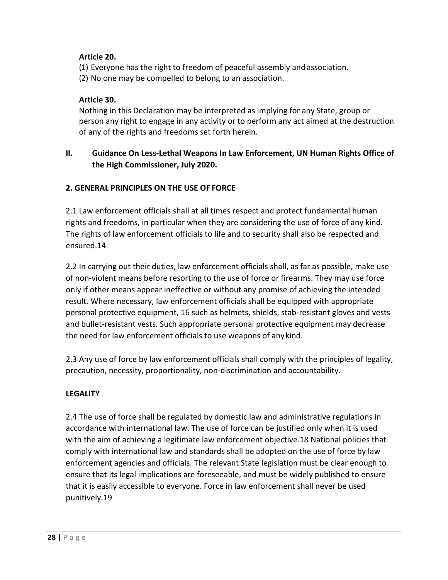# **Article 20.**

(1) Everyone has the right to freedom of peaceful assembly and association.

(2) No one may be compelled to belong to an association.

# **Article 30.**

Nothing in this Declaration may be interpreted as implying for any State, group or person any right to engage in any activity or to perform any act aimed at the destruction of any of the rights and freedoms set forth herein.

# **II. Guidance On Less-Lethal Weapons In Law Enforcement, UN Human Rights Office of the High Commissioner, July 2020.**

# **2. GENERAL PRINCIPLES ON THE USE OF FORCE**

2.1 Law enforcement officials shall at all times respect and protect fundamental human rights and freedoms, in particular when they are considering the use of force of any kind. The rights of law enforcement officials to life and to security shall also be respected and ensured.14

2.2 In carrying out their duties, law enforcement officials shall, as far as possible, make use of non-violent means before resorting to the use of force or firearms. They may use force only if other means appear ineffective or without any promise of achieving the intended result. Where necessary, law enforcement officials shall be equipped with appropriate personal protective equipment, 16 such as helmets, shields, stab-resistant gloves and vests and bullet-resistant vests. Such appropriate personal protective equipment may decrease the need for law enforcement officials to use weapons of any kind.

2.3 Any use of force by law enforcement officials shall comply with the principles of legality, precaution, necessity, proportionality, non-discrimination and accountability.

#### **LEGALITY**

2.4 The use of force shall be regulated by domestic law and administrative regulations in accordance with international law. The use of force can be justified only when it is used with the aim of achieving a legitimate law enforcement objective.18 National policies that comply with international law and standards shall be adopted on the use of force by law enforcement agencies and officials. The relevant State legislation must be clear enough to ensure that its legal implications are foreseeable, and must be widely published to ensure that it is easily accessible to everyone. Force in law enforcement shall never be used punitively.19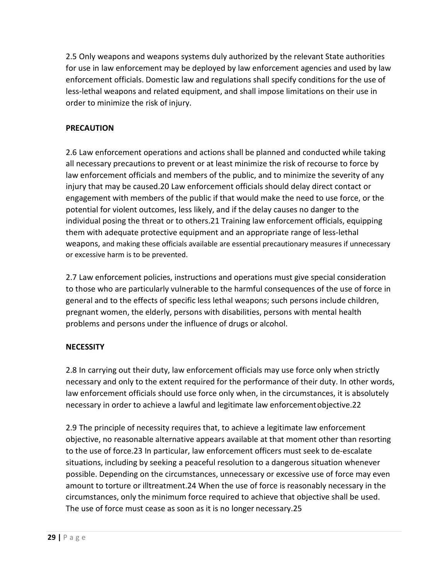2.5 Only weapons and weapons systems duly authorized by the relevant State authorities for use in law enforcement may be deployed by law enforcement agencies and used by law enforcement officials. Domestic law and regulations shall specify conditions for the use of less-lethal weapons and related equipment, and shall impose limitations on their use in order to minimize the risk of injury.

# **PRECAUTION**

2.6 Law enforcement operations and actions shall be planned and conducted while taking all necessary precautions to prevent or at least minimize the risk of recourse to force by law enforcement officials and members of the public, and to minimize the severity of any injury that may be caused.20 Law enforcement officials should delay direct contact or engagement with members of the public if that would make the need to use force, or the potential for violent outcomes, less likely, and if the delay causes no danger to the individual posing the threat or to others.21 Training law enforcement officials, equipping them with adequate protective equipment and an appropriate range of less-lethal weapons, and making these officials available are essential precautionary measures if unnecessary or excessive harm is to be prevented.

2.7 Law enforcement policies, instructions and operations must give special consideration to those who are particularly vulnerable to the harmful consequences of the use of force in general and to the effects of specific less lethal weapons; such persons include children, pregnant women, the elderly, persons with disabilities, persons with mental health problems and persons under the influence of drugs or alcohol.

#### **NECESSITY**

2.8 In carrying out their duty, law enforcement officials may use force only when strictly necessary and only to the extent required for the performance of their duty. In other words, law enforcement officials should use force only when, in the circumstances, it is absolutely necessary in order to achieve a lawful and legitimate law enforcementobjective.22

2.9 The principle of necessity requires that, to achieve a legitimate law enforcement objective, no reasonable alternative appears available at that moment other than resorting to the use of force.23 In particular, law enforcement officers must seek to de-escalate situations, including by seeking a peaceful resolution to a dangerous situation whenever possible. Depending on the circumstances, unnecessary or excessive use of force may even amount to torture or illtreatment.24 When the use of force is reasonably necessary in the circumstances, only the minimum force required to achieve that objective shall be used. The use of force must cease as soon as it is no longer necessary.25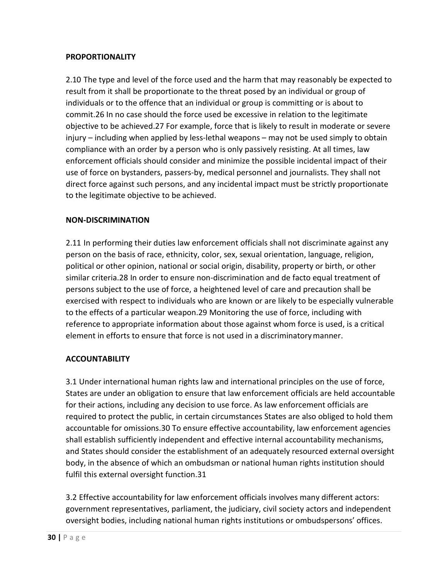#### **PROPORTIONALITY**

2.10 The type and level of the force used and the harm that may reasonably be expected to result from it shall be proportionate to the threat posed by an individual or group of individuals or to the offence that an individual or group is committing or is about to commit.26 In no case should the force used be excessive in relation to the legitimate objective to be achieved.27 For example, force that is likely to result in moderate or severe injury – including when applied by less-lethal weapons – may not be used simply to obtain compliance with an order by a person who is only passively resisting. At all times, law enforcement officials should consider and minimize the possible incidental impact of their use of force on bystanders, passers-by, medical personnel and journalists. They shall not direct force against such persons, and any incidental impact must be strictly proportionate to the legitimate objective to be achieved.

#### **NON-DISCRIMINATION**

2.11 In performing their duties law enforcement officials shall not discriminate against any person on the basis of race, ethnicity, color, sex, sexual orientation, language, religion, political or other opinion, national or social origin, disability, property or birth, or other similar criteria.28 In order to ensure non-discrimination and de facto equal treatment of persons subject to the use of force, a heightened level of care and precaution shall be exercised with respect to individuals who are known or are likely to be especially vulnerable to the effects of a particular weapon.29 Monitoring the use of force, including with reference to appropriate information about those against whom force is used, is a critical element in efforts to ensure that force is not used in a discriminatorymanner.

# **ACCOUNTABILITY**

3.1 Under international human rights law and international principles on the use of force, States are under an obligation to ensure that law enforcement officials are held accountable for their actions, including any decision to use force. As law enforcement officials are required to protect the public, in certain circumstances States are also obliged to hold them accountable for omissions.30 To ensure effective accountability, law enforcement agencies shall establish sufficiently independent and effective internal accountability mechanisms, and States should consider the establishment of an adequately resourced external oversight body, in the absence of which an ombudsman or national human rights institution should fulfil this external oversight function.31

3.2 Effective accountability for law enforcement officials involves many different actors: government representatives, parliament, the judiciary, civil society actors and independent oversight bodies, including national human rights institutions or ombudspersons' offices.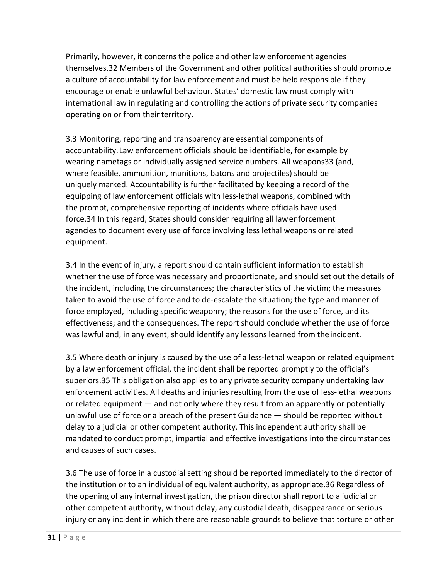Primarily, however, it concerns the police and other law enforcement agencies themselves.32 Members of the Government and other political authorities should promote a culture of accountability for law enforcement and must be held responsible if they encourage or enable unlawful behaviour. States' domestic law must comply with international law in regulating and controlling the actions of private security companies operating on or from their territory.

3.3 Monitoring, reporting and transparency are essential components of accountability.Law enforcement officials should be identifiable, for example by wearing nametags or individually assigned service numbers. All weapons33 (and, where feasible, ammunition, munitions, batons and projectiles) should be uniquely marked. Accountability is further facilitated by keeping a record of the equipping of law enforcement officials with less-lethal weapons, combined with the prompt, comprehensive reporting of incidents where officials have used force.34 In this regard, States should consider requiring all law enforcement agencies to document every use of force involving less lethal weapons or related equipment.

3.4 In the event of injury, a report should contain sufficient information to establish whether the use of force was necessary and proportionate, and should set out the details of the incident, including the circumstances; the characteristics of the victim; the measures taken to avoid the use of force and to de-escalate the situation; the type and manner of force employed, including specific weaponry; the reasons for the use of force, and its effectiveness; and the consequences. The report should conclude whether the use of force was lawful and, in any event, should identify any lessons learned from theincident.

3.5 Where death or injury is caused by the use of a less-lethal weapon or related equipment by a law enforcement official, the incident shall be reported promptly to the official's superiors.35 This obligation also applies to any private security company undertaking law enforcement activities. All deaths and injuries resulting from the use of less-lethal weapons or related equipment — and not only where they result from an apparently or potentially unlawful use of force or a breach of the present Guidance — should be reported without delay to a judicial or other competent authority. This independent authority shall be mandated to conduct prompt, impartial and effective investigations into the circumstances and causes of such cases.

3.6 The use of force in a custodial setting should be reported immediately to the director of the institution or to an individual of equivalent authority, as appropriate.36 Regardless of the opening of any internal investigation, the prison director shall report to a judicial or other competent authority, without delay, any custodial death, disappearance or serious injury or any incident in which there are reasonable grounds to believe that torture or other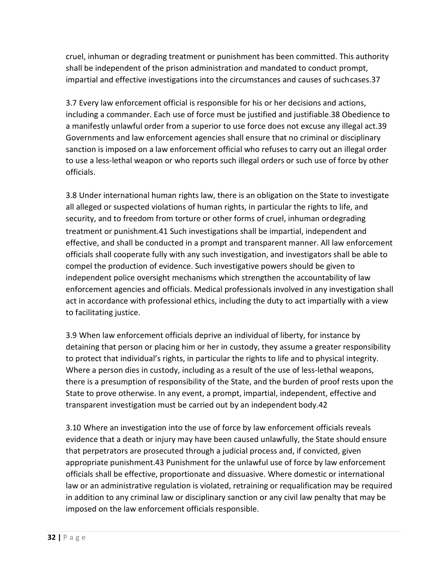cruel, inhuman or degrading treatment or punishment has been committed. This authority shall be independent of the prison administration and mandated to conduct prompt, impartial and effective investigations into the circumstances and causes of suchcases.37

3.7 Every law enforcement official is responsible for his or her decisions and actions, including a commander. Each use of force must be justified and justifiable.38 Obedience to a manifestly unlawful order from a superior to use force does not excuse any illegal act.39 Governments and law enforcement agencies shall ensure that no criminal or disciplinary sanction is imposed on a law enforcement official who refuses to carry out an illegal order to use a less-lethal weapon or who reports such illegal orders or such use of force by other officials.

3.8 Under international human rights law, there is an obligation on the State to investigate all alleged or suspected violations of human rights, in particular the rights to life, and security, and to freedom from torture or other forms of cruel, inhuman ordegrading treatment or punishment.41 Such investigations shall be impartial, independent and effective, and shall be conducted in a prompt and transparent manner. All law enforcement officials shall cooperate fully with any such investigation, and investigators shall be able to compel the production of evidence. Such investigative powers should be given to independent police oversight mechanisms which strengthen the accountability of law enforcement agencies and officials. Medical professionals involved in any investigation shall act in accordance with professional ethics, including the duty to act impartially with a view to facilitating justice.

3.9 When law enforcement officials deprive an individual of liberty, for instance by detaining that person or placing him or her in custody, they assume a greater responsibility to protect that individual's rights, in particular the rights to life and to physical integrity. Where a person dies in custody, including as a result of the use of less-lethal weapons, there is a presumption of responsibility of the State, and the burden of proof rests upon the State to prove otherwise. In any event, a prompt, impartial, independent, effective and transparent investigation must be carried out by an independent body.42

3.10 Where an investigation into the use of force by law enforcement officials reveals evidence that a death or injury may have been caused unlawfully, the State should ensure that perpetrators are prosecuted through a judicial process and, if convicted, given appropriate punishment.43 Punishment for the unlawful use of force by law enforcement officials shall be effective, proportionate and dissuasive. Where domestic or international law or an administrative regulation is violated, retraining or requalification may be required in addition to any criminal law or disciplinary sanction or any civil law penalty that may be imposed on the law enforcement officials responsible.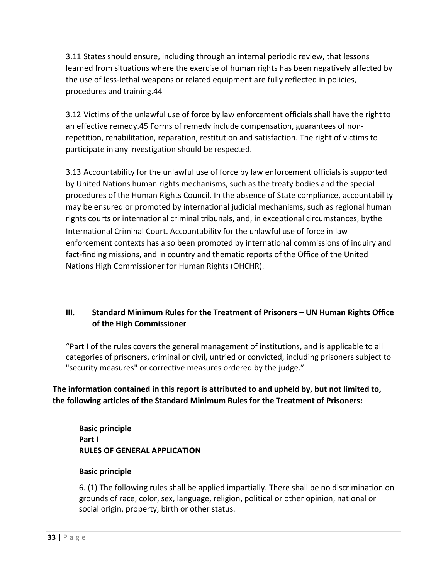3.11 States should ensure, including through an internal periodic review, that lessons learned from situations where the exercise of human rights has been negatively affected by the use of less-lethal weapons or related equipment are fully reflected in policies, procedures and training.44

3.12 Victims of the unlawful use of force by law enforcement officials shall have the rightto an effective remedy.45 Forms of remedy include compensation, guarantees of nonrepetition, rehabilitation, reparation, restitution and satisfaction. The right of victims to participate in any investigation should be respected.

3.13 Accountability for the unlawful use of force by law enforcement officials is supported by United Nations human rights mechanisms, such as the treaty bodies and the special procedures of the Human Rights Council. In the absence of State compliance, accountability may be ensured or promoted by international judicial mechanisms, such as regional human rights courts or international criminal tribunals, and, in exceptional circumstances, bythe International Criminal Court. Accountability for the unlawful use of force in law enforcement contexts has also been promoted by international commissions of inquiry and fact-finding missions, and in country and thematic reports of the Office of the United Nations High Commissioner for Human Rights (OHCHR).

# **III. Standard Minimum Rules for the Treatment of Prisoners – UN Human Rights Office of the High Commissioner**

"Part I of the rules covers the general management of institutions, and is applicable to all categories of prisoners, criminal or civil, untried or convicted, including prisoners subject to "security measures" or corrective measures ordered by the judge."

**The information contained in this report is attributed to and upheld by, but not limited to, the following articles of the Standard Minimum Rules for the Treatment of Prisoners:**

**Basic principle Part I RULES OF GENERAL APPLICATION**

#### **Basic principle**

6. (1) The following rules shall be applied impartially. There shall be no discrimination on grounds of race, color, sex, language, religion, political or other opinion, national or social origin, property, birth or other status.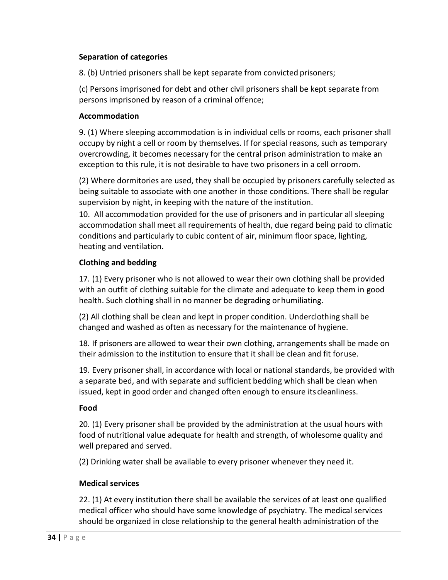#### **Separation of categories**

8. (b) Untried prisoners shall be kept separate from convicted prisoners;

(c) Persons imprisoned for debt and other civil prisoners shall be kept separate from persons imprisoned by reason of a criminal offence;

#### **Accommodation**

9. (1) Where sleeping accommodation is in individual cells or rooms, each prisoner shall occupy by night a cell or room by themselves. If for special reasons, such as temporary overcrowding, it becomes necessary for the central prison administration to make an exception to this rule, it is not desirable to have two prisoners in a cell orroom.

(2) Where dormitories are used, they shall be occupied by prisoners carefully selected as being suitable to associate with one another in those conditions. There shall be regular supervision by night, in keeping with the nature of the institution.

10. All accommodation provided for the use of prisoners and in particular all sleeping accommodation shall meet all requirements of health, due regard being paid to climatic conditions and particularly to cubic content of air, minimum floor space, lighting, heating and ventilation.

#### **Clothing and bedding**

17. (1) Every prisoner who is not allowed to wear their own clothing shall be provided with an outfit of clothing suitable for the climate and adequate to keep them in good health. Such clothing shall in no manner be degrading or humiliating.

(2) All clothing shall be clean and kept in proper condition. Underclothing shall be changed and washed as often as necessary for the maintenance of hygiene.

18. If prisoners are allowed to wear their own clothing, arrangements shall be made on their admission to the institution to ensure that it shall be clean and fit foruse.

19. Every prisoner shall, in accordance with local or national standards, be provided with a separate bed, and with separate and sufficient bedding which shall be clean when issued, kept in good order and changed often enough to ensure its cleanliness.

#### **Food**

20. (1) Every prisoner shall be provided by the administration at the usual hours with food of nutritional value adequate for health and strength, of wholesome quality and well prepared and served.

(2) Drinking water shall be available to every prisoner whenever they need it.

#### **Medical services**

22. (1) At every institution there shall be available the services of at least one qualified medical officer who should have some knowledge of psychiatry. The medical services should be organized in close relationship to the general health administration of the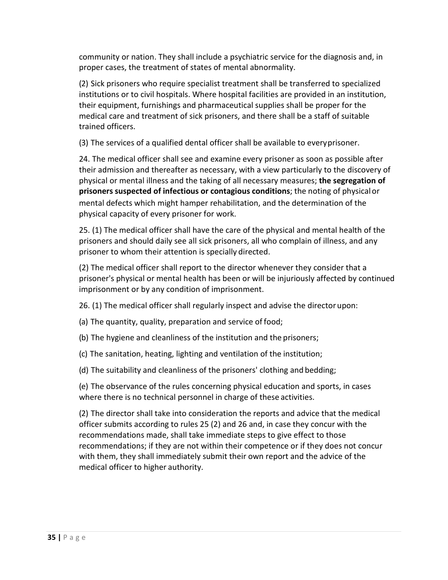community or nation. They shall include a psychiatric service for the diagnosis and, in proper cases, the treatment of states of mental abnormality.

(2) Sick prisoners who require specialist treatment shall be transferred to specialized institutions or to civil hospitals. Where hospital facilities are provided in an institution, their equipment, furnishings and pharmaceutical supplies shall be proper for the medical care and treatment of sick prisoners, and there shall be a staff of suitable trained officers.

(3) The services of a qualified dental officer shall be available to everyprisoner.

24. The medical officer shall see and examine every prisoner as soon as possible after their admission and thereafter as necessary, with a view particularly to the discovery of physical or mental illness and the taking of all necessary measures; **the segregation of prisoners suspected of infectious or contagious conditions**; the noting of physicalor mental defects which might hamper rehabilitation, and the determination of the physical capacity of every prisoner for work.

25. (1) The medical officer shall have the care of the physical and mental health of the prisoners and should daily see all sick prisoners, all who complain of illness, and any prisoner to whom their attention is specially directed.

(2) The medical officer shall report to the director whenever they consider that a prisoner's physical or mental health has been or will be injuriously affected by continued imprisonment or by any condition of imprisonment.

26. (1) The medical officer shall regularly inspect and advise the director upon:

(a) The quantity, quality, preparation and service of food;

(b) The hygiene and cleanliness of the institution and the prisoners;

(c) The sanitation, heating, lighting and ventilation of the institution;

(d) The suitability and cleanliness of the prisoners' clothing and bedding;

(e) The observance of the rules concerning physical education and sports, in cases where there is no technical personnel in charge of these activities.

(2) The director shall take into consideration the reports and advice that the medical officer submits according to rules 25 (2) and 26 and, in case they concur with the recommendations made, shall take immediate steps to give effect to those recommendations; if they are not within their competence or if they does not concur with them, they shall immediately submit their own report and the advice of the medical officer to higher authority.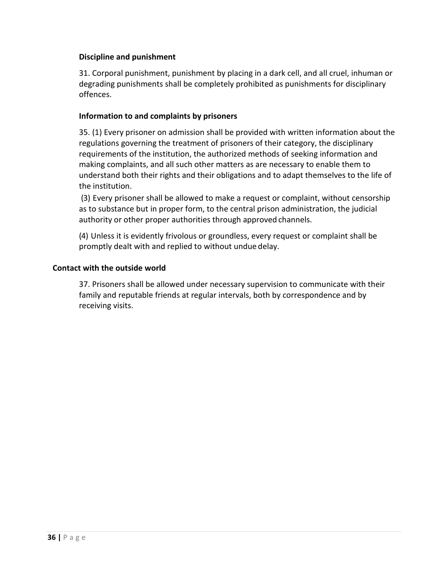#### **Discipline and punishment**

31. Corporal punishment, punishment by placing in a dark cell, and all cruel, inhuman or degrading punishments shall be completely prohibited as punishments for disciplinary offences.

#### **Information to and complaints by prisoners**

35. (1) Every prisoner on admission shall be provided with written information about the regulations governing the treatment of prisoners of their category, the disciplinary requirements of the institution, the authorized methods of seeking information and making complaints, and all such other matters as are necessary to enable them to understand both their rights and their obligations and to adapt themselves to the life of the institution.

(3) Every prisoner shall be allowed to make a request or complaint, without censorship as to substance but in proper form, to the central prison administration, the judicial authority or other proper authorities through approved channels.

(4) Unless it is evidently frivolous or groundless, every request or complaint shall be promptly dealt with and replied to without undue delay.

#### **Contact with the outside world**

37. Prisoners shall be allowed under necessary supervision to communicate with their family and reputable friends at regular intervals, both by correspondence and by receiving visits.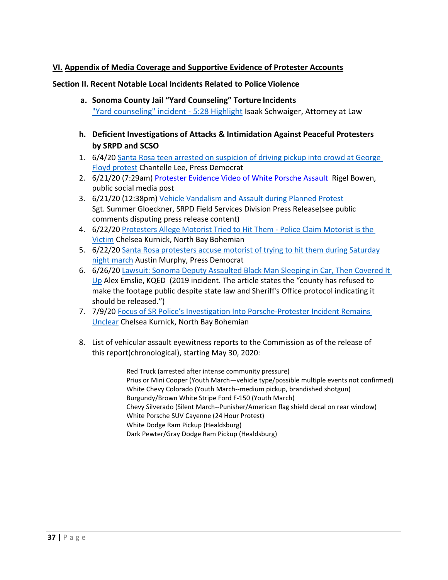#### **VI. Appendix of Media Coverage and Supportive Evidence of Protester Accounts**

#### **Section II. Recent Notable Local Incidents Related to Police Violence**

- **a. Sonoma County Jail "Yard Counseling" Torture Incidents** ["Yard counseling" incident - 5:28 Highlight](https://www.youtube.com/watch?v=l-UJUvwd338&feature=youtu.be&fbclid=IwAR1uizKlBMvSsv_KZBaWvSMHEGl3raCk1A-v_xDWhV2kmpfcoy3tu4rDdYY) Isaak Schwaiger, Attorney at Law
- **h. Deficient Investigations of Attacks & Intimidation Against Peaceful Protesters by SRPD and SCSO**
- 1. 6/4/20 [Santa Rosa teen arrested on suspicion of driving pickup into](https://www.sonomanews.com/article/news/santa-rosa-teen-arrested-on-suspicion-of-driving-pickup-into-crowd-at-georg/) crowd at Georg[e](https://www.sonomanews.com/article/news/santa-rosa-teen-arrested-on-suspicion-of-driving-pickup-into-crowd-at-georg/) [Floyd protest](https://www.sonomanews.com/article/news/santa-rosa-teen-arrested-on-suspicion-of-driving-pickup-into-crowd-at-georg/) Chantelle Lee, Press Democrat
- 2. 6/21/20 (7:29am) [Protester Evidence Video of White Porsche Assault](https://www.facebook.com/rigelsbowen/videos/2628400830708207/) Rigel Bowen, public social media post
- 3. 6/21/20 (12:38pm) [Vehicle Vandalism and Assault during Planned Protest](https://local.nixle.com/alert/8070004/) Sgt. Summer Gloeckner, SRPD Field Services Division Press Release(see public comments disputing press release content)
- 4. 6/22/20 [Protesters Allege Motorist Tried to Hit Them Police Claim Motorist is the](https://m.bohemian.com/northbay/protesters-allege-motorist-tried-to-hit-them/Content?oid=10246249) [Victim C](https://m.bohemian.com/northbay/protesters-allege-motorist-tried-to-hit-them/Content?oid=10246249)helsea Kurnick, North Bay Bohemian
- 5. 6/22/20 [Santa Rosa protesters accuse motorist of trying to hit them during Saturday](https://www.pressdemocrat.com/article/news/santa-rosa-protesters-accuse-motorist-of-trying-to-hit-them-during-saturday/) [night march](https://www.pressdemocrat.com/article/news/santa-rosa-protesters-accuse-motorist-of-trying-to-hit-them-during-saturday/) Austin Murphy, Press Democrat
- 6. 6/26/20 [Lawsuit: Sonoma Deputy Assaulted Black Man Sleeping in Car, Then Covered It](https://www.kqed.org/news/11826159/lawsuit-sonoma-deputy-assaulted-black-man-sleeping-in-car-then-covered-it-up) [Up](https://www.kqed.org/news/11826159/lawsuit-sonoma-deputy-assaulted-black-man-sleeping-in-car-then-covered-it-up) Alex Emslie, KQED (2019 incident. The article states the "county has refused to make the footage public despite state law and Sheriff's Office protocol indicating it should be released.")
- 7. 7/9/20 [Focus of SR Police's Investigation Into Porsche-Protester Incident Remains](https://www.bohemian.com/northbay/santa-rosa-police-porsche-protester-investigation/Content?oid=10302044) [Unclear C](https://www.bohemian.com/northbay/santa-rosa-police-porsche-protester-investigation/Content?oid=10302044)helsea Kurnick, North Bay Bohemian
- 8. List of vehicular assault eyewitness reports to the Commission as of the release of this report(chronological), starting May 30, 2020:

Red Truck (arrested after intense community pressure) Prius or Mini Cooper (Youth March—vehicle type/possible multiple events not confirmed) White Chevy Colorado (Youth March--medium pickup, brandished shotgun) Burgundy/Brown White Stripe Ford F-150 (Youth March) Chevy Silverado (Silent March--Punisher/American flag shield decal on rear window) White Porsche SUV Cayenne (24 Hour Protest) White Dodge Ram Pickup (Healdsburg) Dark Pewter/Gray Dodge Ram Pickup (Healdsburg)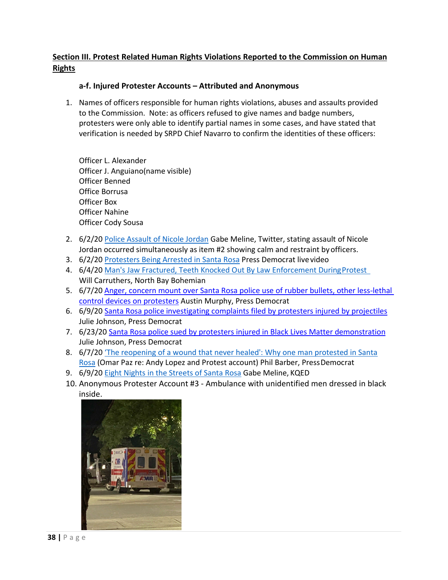# **Section III. Protest Related Human Rights Violations Reported to the Commission on Human Rights**

#### **a-f. Injured Protester Accounts – Attributed and Anonymous**

1. Names of officers responsible for human rights violations, abuses and assaults provided to the Commission. Note: as officers refused to give names and badge numbers, protesters were only able to identify partial names in some cases, and have stated that verification is needed by SRPD Chief Navarro to confirm the identities of these officers:

Officer L. Alexander Officer J. Anguiano(name visible) Officer Benned Office Borrusa Officer Box Officer Nahine Officer Cody Sousa

- 2. 6/2/20 [Police Assault of Nicole Jordan](https://twitter.com/gmeline/status/1268060389100490752?s=20) Gabe Meline, Twitter, stating assault of Nicole Jordan occurred simultaneously as item #2 showing calm and restraint byofficers.
- 3. 6/2/20 [Protesters Being Arrested in Santa Rosa](https://www.facebook.com/watch/?v=275581753592159) Press Democrat livevideo
- 4. 6/4/20 Man's Jaw Fractured, Teeth Knocked Out By Law Enforcement During Protest Will Carruthers, North Bay Bohemian
- 5. 6/7/2[0 Anger, concern mount over Santa Rosa police use of rubber bullets, other less-lethal](https://www.pressdemocrat.com/article/news/anger-concern-mount-over-santa-rosa-police-use-of-rubber-bullets-other-le/?ref=related)  [control devices on protesters](https://www.pressdemocrat.com/article/news/anger-concern-mount-over-santa-rosa-police-use-of-rubber-bullets-other-le/?ref=related) Austin Murphy, Press Democrat
- 6. 6/9/2[0 Santa Rosa police investigating complaints filed by protesters injured by projectiles](https://www.pressdemocrat.com/article/news/santa-rosa-police-investigating-complaints-filed-by-protesters-injured-by-p/?ref=related) Julie Johnson, Press Democrat
- 7. 6/23/2[0 Santa Rosa police sued by protesters injured in Black Lives Matter demonstration](https://www.pressdemocrat.com/article/news/santa-rosa-police-sued-by-protesters-injured-in-black-lives-matter-demonstr/) Julie Johnson, Press Democrat
- 8. 6/7/20 ['The reopening of a wound that never healed': Why one man protested in Santa](https://www.pressdemocrat.com/article/news/the-reopening-of-a-wound-that-never-healed-why-one-man-protested-in-sant/) [Rosa](https://www.pressdemocrat.com/article/news/the-reopening-of-a-wound-that-never-healed-why-one-man-protested-in-sant/) (Omar Paz re: Andy Lopez and Protest account) Phil Barber, Press Democrat
- 9. 6/9/20 [Eight Nights in the Streets of Santa Rosa](https://www.kqed.org/arts/13881650/santa-rosa-protests-george-floyd-andy-lopez-black-lives-matter?fbclid=IwAR0pSJg5-nnL6dOgjSPrFVo9PCKOSobCAwELBX1I0N9TP-8nixwB2cmz-7Q) Gabe Meline, KQED
- 10. Anonymous Protester Account #3 Ambulance with unidentified men dressed in black inside.